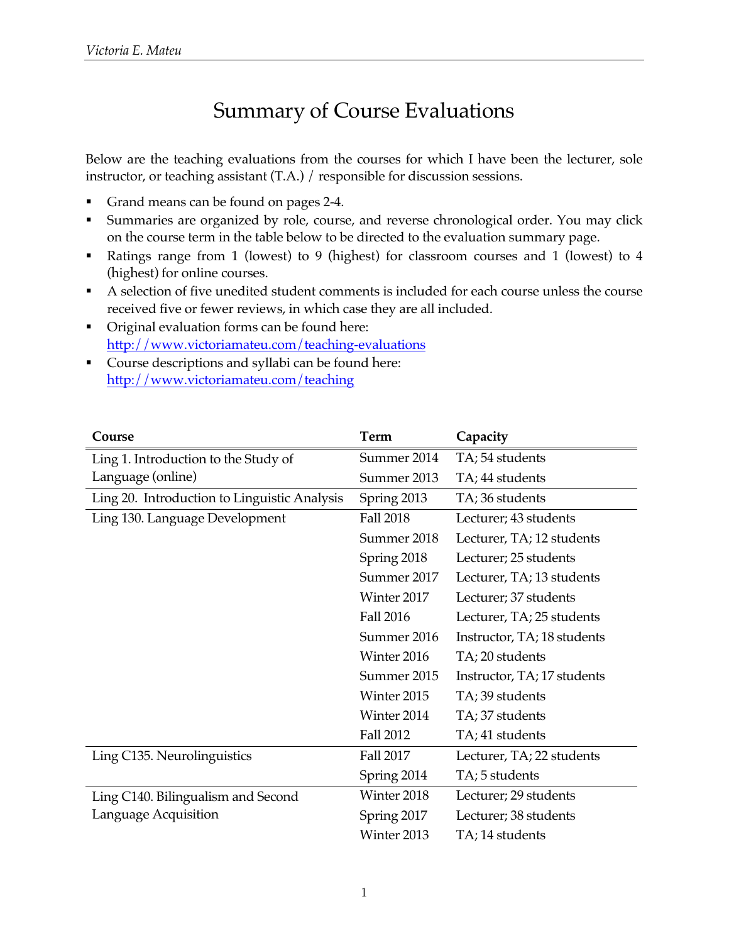# Summary of Course Evaluations

Below are the teaching evaluations from the courses for which I have been the lecturer, sole instructor, or teaching assistant (T.A.) / responsible for discussion sessions.

- Grand means can be found on pages 2-4.
- § Summaries are organized by role, course, and reverse chronological order. You may click on the course term in the table below to be directed to the evaluation summary page.
- § Ratings range from 1 (lowest) to 9 (highest) for classroom courses and 1 (lowest) to 4 (highest) for online courses.
- § A selection of five unedited student comments is included for each course unless the course received five or fewer reviews, in which case they are all included.
- Original evaluation forms can be found here: http://www.victoriamateu.com/teaching-evaluations
- Course descriptions and syllabi can be found here: http://www.victoriamateu.com/teaching

| Course                                       | Term             | Capacity                    |
|----------------------------------------------|------------------|-----------------------------|
| Ling 1. Introduction to the Study of         | Summer 2014      | TA; 54 students             |
| Language (online)                            | Summer 2013      | TA; 44 students             |
| Ling 20. Introduction to Linguistic Analysis | Spring 2013      | TA; 36 students             |
| Ling 130. Language Development               | <b>Fall 2018</b> | Lecturer; 43 students       |
|                                              | Summer 2018      | Lecturer, TA; 12 students   |
|                                              | Spring 2018      | Lecturer; 25 students       |
|                                              | Summer 2017      | Lecturer, TA; 13 students   |
|                                              | Winter 2017      | Lecturer; 37 students       |
|                                              | <b>Fall 2016</b> | Lecturer, TA; 25 students   |
|                                              | Summer 2016      | Instructor, TA; 18 students |
|                                              | Winter 2016      | TA; 20 students             |
|                                              | Summer 2015      | Instructor, TA; 17 students |
|                                              | Winter 2015      | TA; 39 students             |
|                                              | Winter 2014      | TA; 37 students             |
|                                              | <b>Fall 2012</b> | TA; 41 students             |
| Ling C135. Neurolinguistics                  | <b>Fall 2017</b> | Lecturer, TA; 22 students   |
|                                              | Spring 2014      | TA; 5 students              |
| Ling C140. Bilingualism and Second           | Winter 2018      | Lecturer; 29 students       |
| Language Acquisition                         | Spring 2017      | Lecturer; 38 students       |
|                                              | Winter 2013      | TA; 14 students             |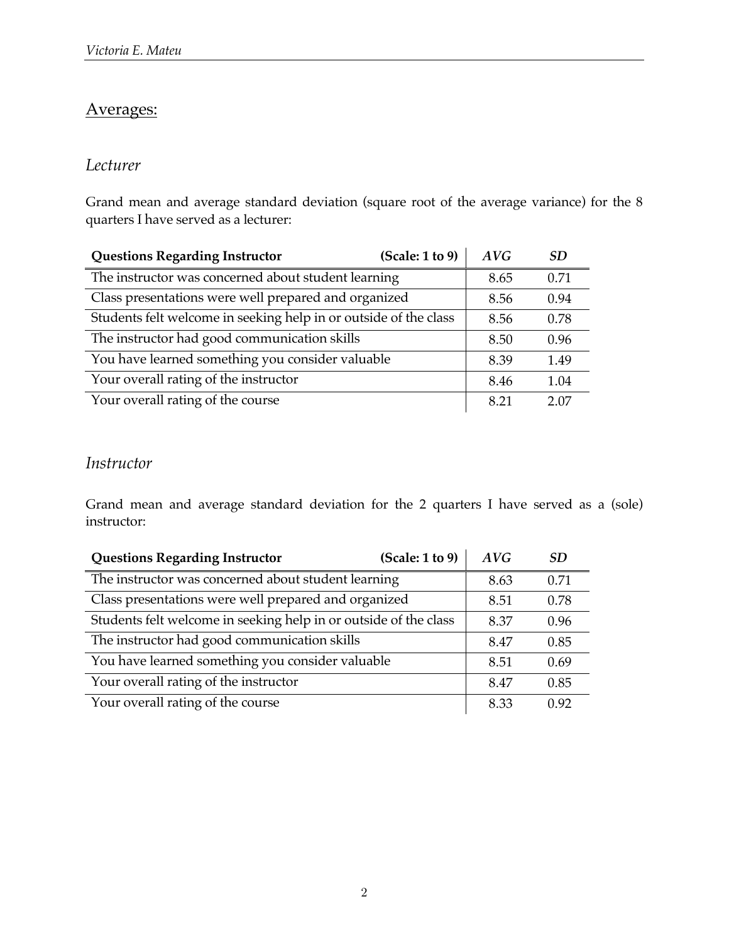# Averages:

### *Lecturer*

Grand mean and average standard deviation (square root of the average variance) for the 8 quarters I have served as a lecturer:

| (Scale: 1 to 9)<br><b>Questions Regarding Instructor</b>         | AVG  | SD.  |
|------------------------------------------------------------------|------|------|
| The instructor was concerned about student learning              | 8.65 | 0.71 |
| Class presentations were well prepared and organized             | 8.56 | 0.94 |
| Students felt welcome in seeking help in or outside of the class | 8.56 | 0.78 |
| The instructor had good communication skills                     | 8.50 | 0.96 |
| You have learned something you consider valuable                 | 8.39 | 1.49 |
| Your overall rating of the instructor                            | 8.46 | 1.04 |
| Your overall rating of the course                                | 8.21 | 2.07 |

### *Instructor*

Grand mean and average standard deviation for the 2 quarters I have served as a (sole) instructor:

| (Scale: 1 to 9)<br><b>Questions Regarding Instructor</b>         | AVG  | SD.  |
|------------------------------------------------------------------|------|------|
| The instructor was concerned about student learning              | 8.63 | 0.71 |
| Class presentations were well prepared and organized             | 8.51 | 0.78 |
| Students felt welcome in seeking help in or outside of the class | 8.37 | 0.96 |
| The instructor had good communication skills                     | 8.47 | 0.85 |
| You have learned something you consider valuable                 | 8.51 | 0.69 |
| Your overall rating of the instructor                            | 8.47 | 0.85 |
| Your overall rating of the course                                | 8.33 | 0.92 |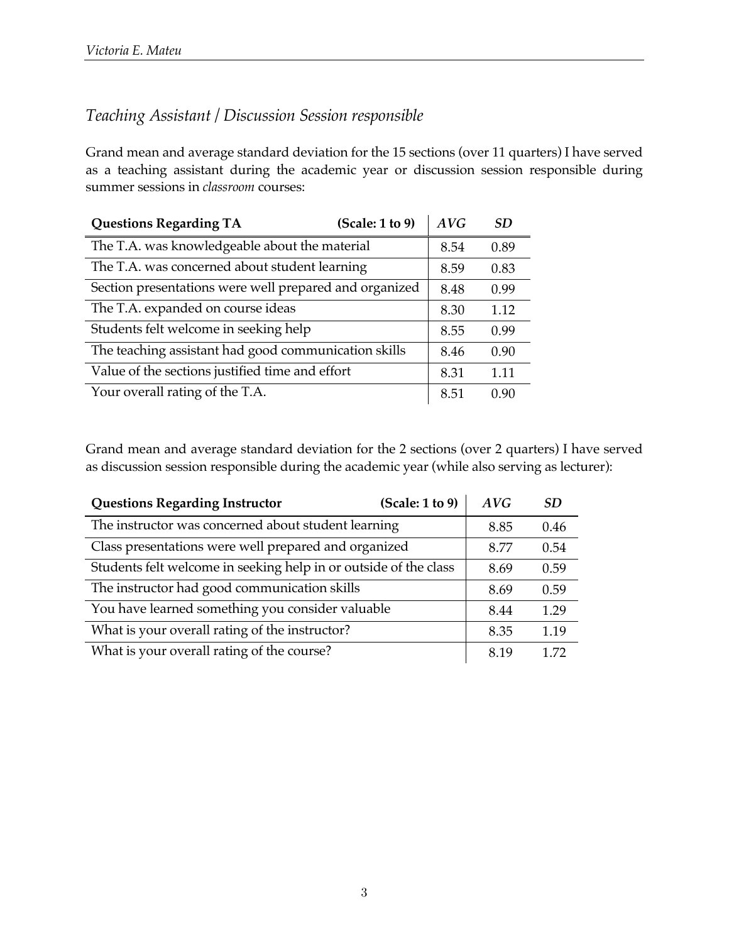### *Teaching Assistant / Discussion Session responsible*

Grand mean and average standard deviation for the 15 sections (over 11 quarters) I have served as a teaching assistant during the academic year or discussion session responsible during summer sessions in *classroom* courses:

| <b>Questions Regarding TA</b>                          | (Scale: 1 to 9) | AVG  | SD.  |
|--------------------------------------------------------|-----------------|------|------|
| The T.A. was knowledgeable about the material          |                 | 8.54 | 0.89 |
| The T.A. was concerned about student learning          |                 | 8.59 | 0.83 |
| Section presentations were well prepared and organized |                 | 8.48 | 0.99 |
| The T.A. expanded on course ideas                      |                 | 8.30 | 1.12 |
| Students felt welcome in seeking help                  |                 | 8.55 | 0.99 |
| The teaching assistant had good communication skills   |                 | 8.46 | 0.90 |
| Value of the sections justified time and effort        |                 | 8.31 | 1.11 |
| Your overall rating of the T.A.                        |                 | 8.51 | 0.90 |

Grand mean and average standard deviation for the 2 sections (over 2 quarters) I have served as discussion session responsible during the academic year (while also serving as lecturer):

| <b>Questions Regarding Instructor</b>                            | (Scale: 1 to 9) | AVG  | <b>SD</b> |
|------------------------------------------------------------------|-----------------|------|-----------|
| The instructor was concerned about student learning              |                 | 8.85 | 0.46      |
| Class presentations were well prepared and organized             |                 | 8.77 | 0.54      |
| Students felt welcome in seeking help in or outside of the class |                 | 8.69 | 0.59      |
| The instructor had good communication skills                     |                 | 8.69 | 0.59      |
| You have learned something you consider valuable                 |                 | 8.44 | 1.29      |
| What is your overall rating of the instructor?                   |                 | 8.35 | 1.19      |
| What is your overall rating of the course?                       |                 | 8.19 | 1.72      |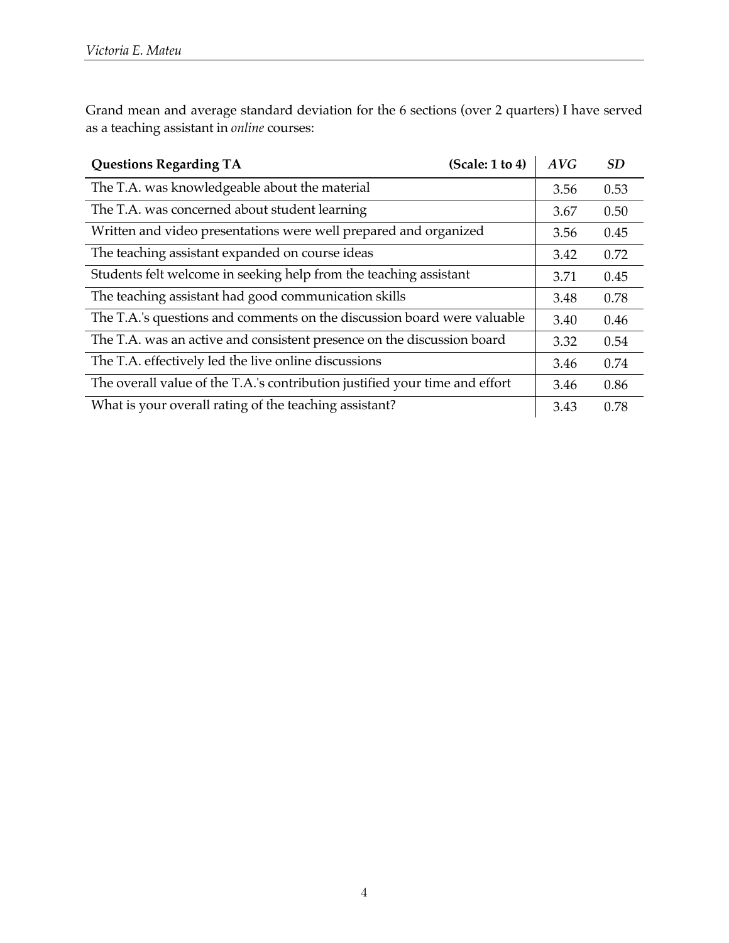Grand mean and average standard deviation for the 6 sections (over 2 quarters) I have served as a teaching assistant in *online* courses:

| <b>Questions Regarding TA</b>                                               | (Scale: 1 to 4) | AVG  | <b>SD</b> |
|-----------------------------------------------------------------------------|-----------------|------|-----------|
| The T.A. was knowledgeable about the material                               |                 | 3.56 | 0.53      |
| The T.A. was concerned about student learning                               |                 | 3.67 | 0.50      |
| Written and video presentations were well prepared and organized            |                 | 3.56 | 0.45      |
| The teaching assistant expanded on course ideas                             |                 | 3.42 | 0.72      |
| Students felt welcome in seeking help from the teaching assistant           |                 | 3.71 | 0.45      |
| The teaching assistant had good communication skills                        |                 | 3.48 | 0.78      |
| The T.A.'s questions and comments on the discussion board were valuable     |                 | 3.40 | 0.46      |
| The T.A. was an active and consistent presence on the discussion board      |                 | 3.32 | 0.54      |
| The T.A. effectively led the live online discussions                        |                 | 3.46 | 0.74      |
| The overall value of the T.A.'s contribution justified your time and effort |                 | 3.46 | 0.86      |
| What is your overall rating of the teaching assistant?                      |                 | 3.43 | 0.78      |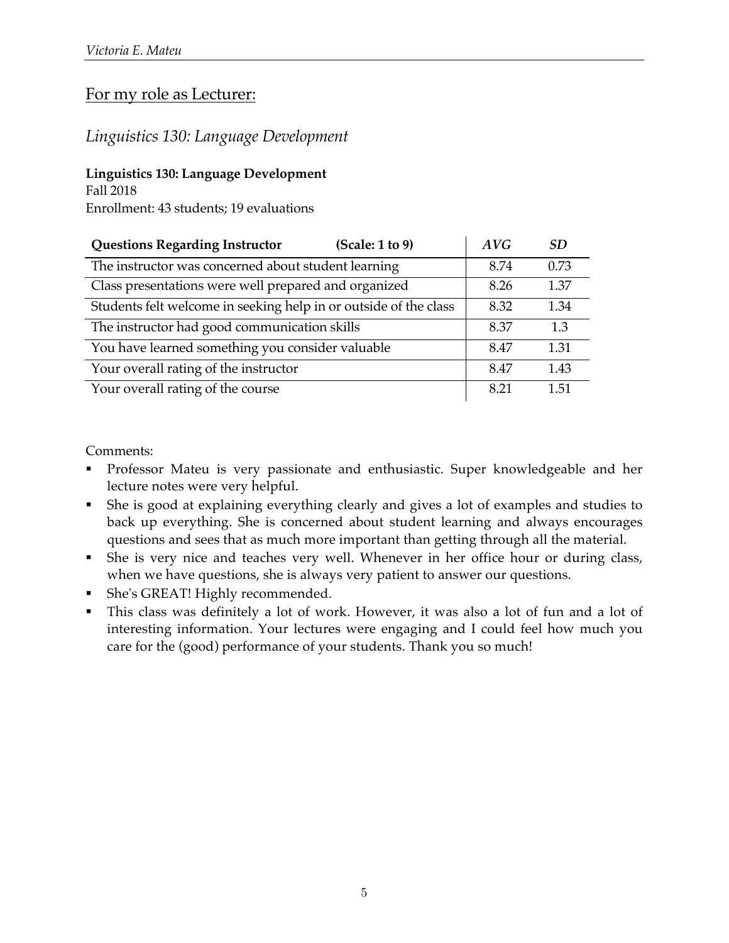### For my role as Lecturer:

### *Linguistics 130: Language Development*

#### **Linguistics 130: Language Development**

Fall 2018

Enrollment: 43 students; 19 evaluations

| <b>Questions Regarding Instructor</b><br>(Scale: 1 to 9)         | AVG  | SD.  |
|------------------------------------------------------------------|------|------|
| The instructor was concerned about student learning              | 8.74 | 0.73 |
| Class presentations were well prepared and organized             | 8.26 | 1.37 |
| Students felt welcome in seeking help in or outside of the class | 8.32 | 1.34 |
| The instructor had good communication skills                     | 8.37 | 1.3  |
| You have learned something you consider valuable                 | 8.47 | 1.31 |
| Your overall rating of the instructor                            | 8.47 | 1.43 |
| Your overall rating of the course                                | 8.21 | 1.51 |

- § Professor Mateu is very passionate and enthusiastic. Super knowledgeable and her lecture notes were very helpful.
- § She is good at explaining everything clearly and gives a lot of examples and studies to back up everything. She is concerned about student learning and always encourages questions and sees that as much more important than getting through all the material.
- § She is very nice and teaches very well. Whenever in her office hour or during class, when we have questions, she is always very patient to answer our questions.
- § She's GREAT! Highly recommended.
- § This class was definitely a lot of work. However, it was also a lot of fun and a lot of interesting information. Your lectures were engaging and I could feel how much you care for the (good) performance of your students. Thank you so much!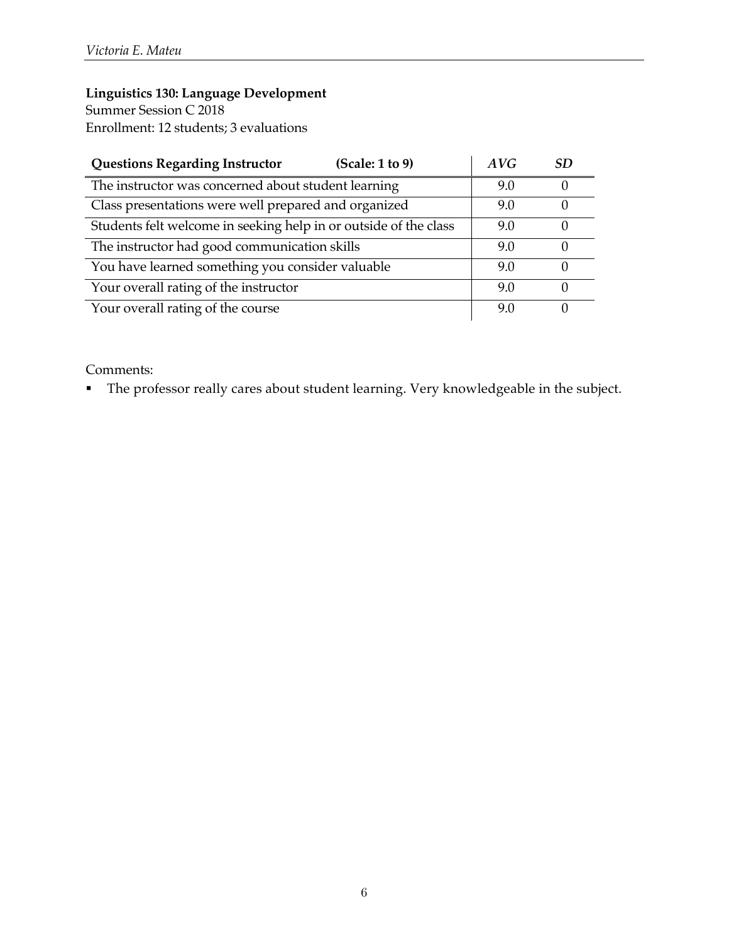Summer Session C 2018 Enrollment: 12 students; 3 evaluations

| <b>Questions Regarding Instructor</b><br>(Scale: 1 to 9)         | AVG | SD |
|------------------------------------------------------------------|-----|----|
| The instructor was concerned about student learning              | 9.0 |    |
| Class presentations were well prepared and organized             | 9.0 |    |
| Students felt welcome in seeking help in or outside of the class | 9.0 |    |
| The instructor had good communication skills                     | 9.0 |    |
| You have learned something you consider valuable                 | 9.0 |    |
| Your overall rating of the instructor                            | 9.0 |    |
| Your overall rating of the course                                | 9.0 |    |

Comments:

§ The professor really cares about student learning. Very knowledgeable in the subject.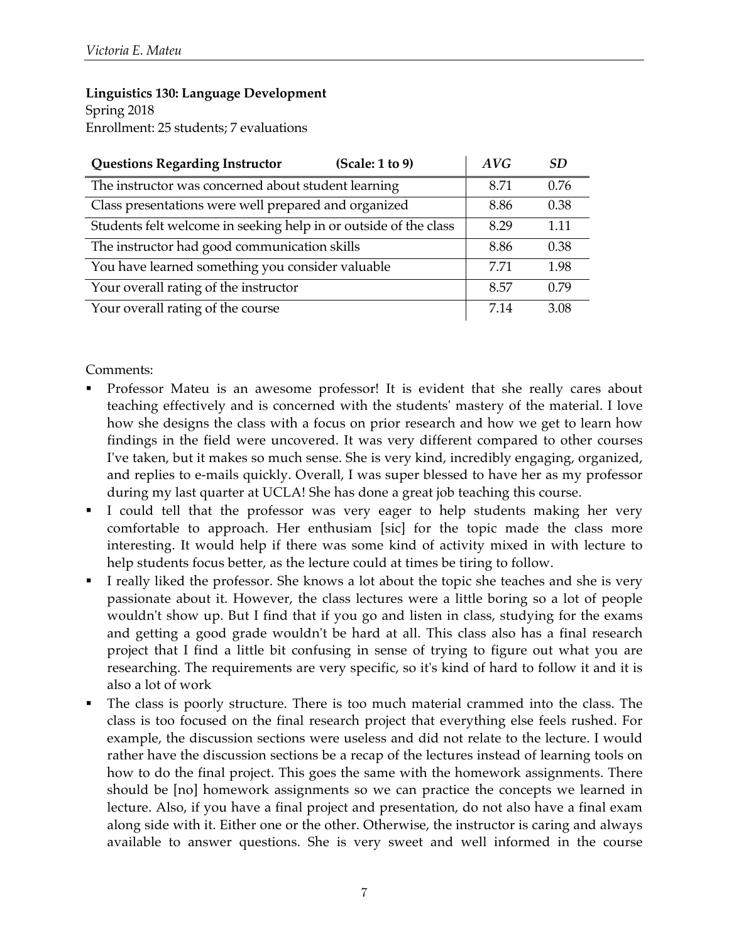Enrollment: 25 students; 7 evaluations

| <b>Questions Regarding Instructor</b><br>(Scale: 1 to 9)         | AVG  | SD   |
|------------------------------------------------------------------|------|------|
| The instructor was concerned about student learning              | 8.71 | 0.76 |
| Class presentations were well prepared and organized             | 8.86 | 0.38 |
| Students felt welcome in seeking help in or outside of the class | 8.29 | 1.11 |
| The instructor had good communication skills                     | 8.86 | 0.38 |
| You have learned something you consider valuable                 | 7.71 | 1.98 |
| Your overall rating of the instructor                            | 8.57 | 0.79 |
| Your overall rating of the course                                | 7.14 | 3.08 |

- § Professor Mateu is an awesome professor! It is evident that she really cares about teaching effectively and is concerned with the students' mastery of the material. I love how she designs the class with a focus on prior research and how we get to learn how findings in the field were uncovered. It was very different compared to other courses I've taken, but it makes so much sense. She is very kind, incredibly engaging, organized, and replies to e-mails quickly. Overall, I was super blessed to have her as my professor during my last quarter at UCLA! She has done a great job teaching this course.
- I could tell that the professor was very eager to help students making her very comfortable to approach. Her enthusiam [sic] for the topic made the class more interesting. It would help if there was some kind of activity mixed in with lecture to help students focus better, as the lecture could at times be tiring to follow.
- I really liked the professor. She knows a lot about the topic she teaches and she is very passionate about it. However, the class lectures were a little boring so a lot of people wouldn't show up. But I find that if you go and listen in class, studying for the exams and getting a good grade wouldn't be hard at all. This class also has a final research project that I find a little bit confusing in sense of trying to figure out what you are researching. The requirements are very specific, so it's kind of hard to follow it and it is also a lot of work
- The class is poorly structure. There is too much material crammed into the class. The class is too focused on the final research project that everything else feels rushed. For example, the discussion sections were useless and did not relate to the lecture. I would rather have the discussion sections be a recap of the lectures instead of learning tools on how to do the final project. This goes the same with the homework assignments. There should be [no] homework assignments so we can practice the concepts we learned in lecture. Also, if you have a final project and presentation, do not also have a final exam along side with it. Either one or the other. Otherwise, the instructor is caring and always available to answer questions. She is very sweet and well informed in the course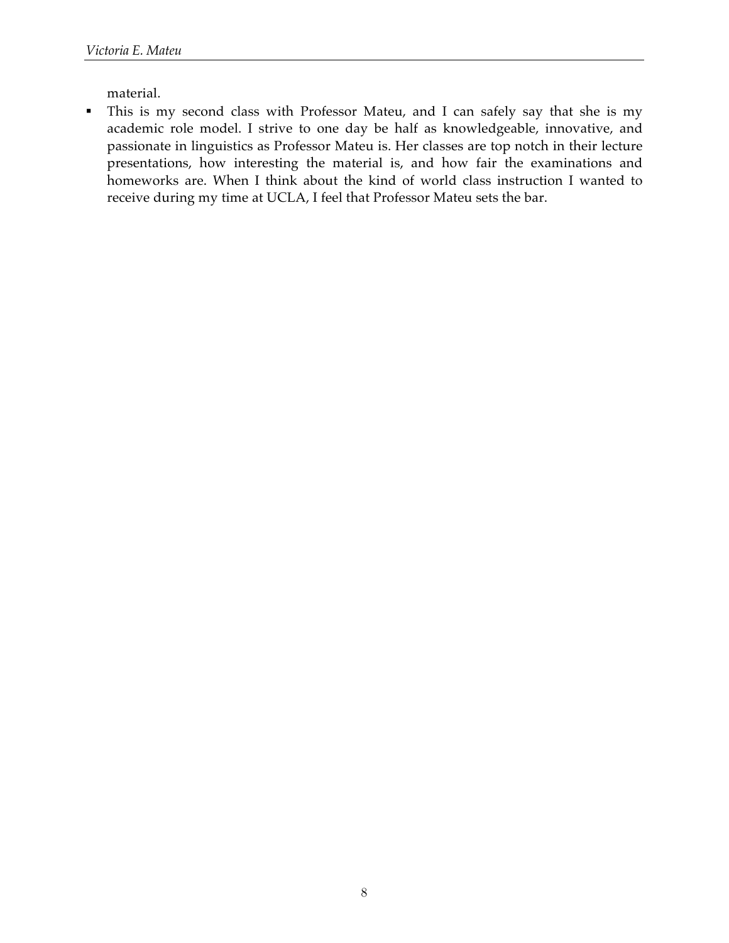material.

• This is my second class with Professor Mateu, and I can safely say that she is my academic role model. I strive to one day be half as knowledgeable, innovative, and passionate in linguistics as Professor Mateu is. Her classes are top notch in their lecture presentations, how interesting the material is, and how fair the examinations and homeworks are. When I think about the kind of world class instruction I wanted to receive during my time at UCLA, I feel that Professor Mateu sets the bar.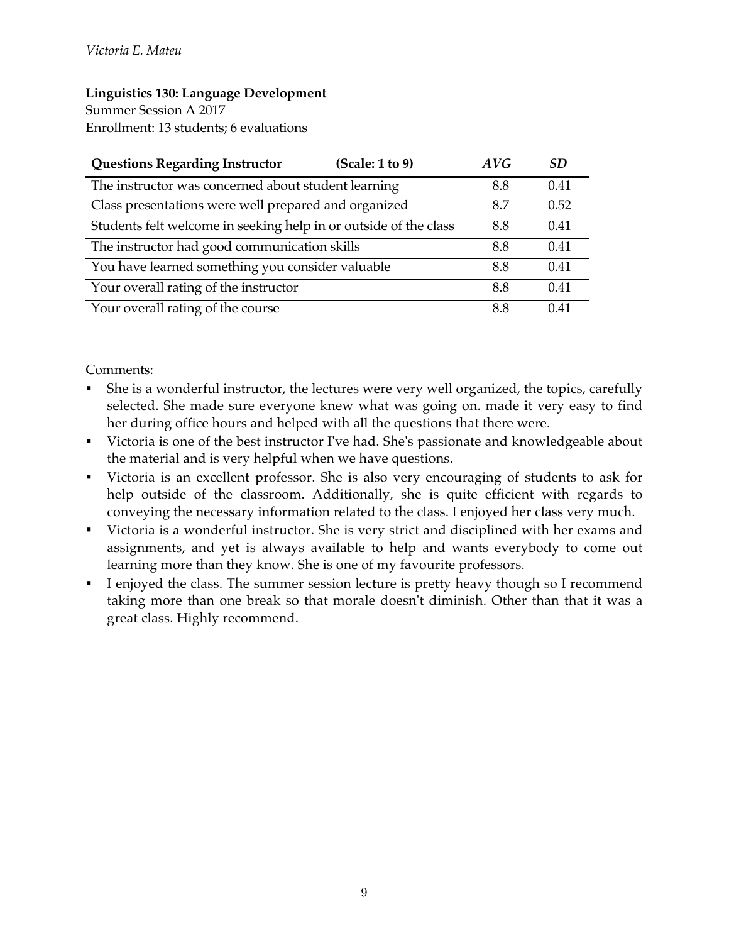Summer Session A 2017 Enrollment: 13 students; 6 evaluations

| <b>Questions Regarding Instructor</b><br>(Scale: 1 to 9)         | AVG | SD   |
|------------------------------------------------------------------|-----|------|
| The instructor was concerned about student learning              | 8.8 | 0.41 |
| Class presentations were well prepared and organized             | 8.7 | 0.52 |
| Students felt welcome in seeking help in or outside of the class | 8.8 | 0.41 |
| The instructor had good communication skills                     | 8.8 | 0.41 |
| You have learned something you consider valuable                 | 8.8 | 0.41 |
| Your overall rating of the instructor                            | 8.8 | 0.41 |
| Your overall rating of the course                                | 8.8 | 0.41 |

- She is a wonderful instructor, the lectures were very well organized, the topics, carefully selected. She made sure everyone knew what was going on. made it very easy to find her during office hours and helped with all the questions that there were.
- Victoria is one of the best instructor I've had. She's passionate and knowledgeable about the material and is very helpful when we have questions.
- Victoria is an excellent professor. She is also very encouraging of students to ask for help outside of the classroom. Additionally, she is quite efficient with regards to conveying the necessary information related to the class. I enjoyed her class very much.
- Victoria is a wonderful instructor. She is very strict and disciplined with her exams and assignments, and yet is always available to help and wants everybody to come out learning more than they know. She is one of my favourite professors.
- I enjoyed the class. The summer session lecture is pretty heavy though so I recommend taking more than one break so that morale doesn't diminish. Other than that it was a great class. Highly recommend.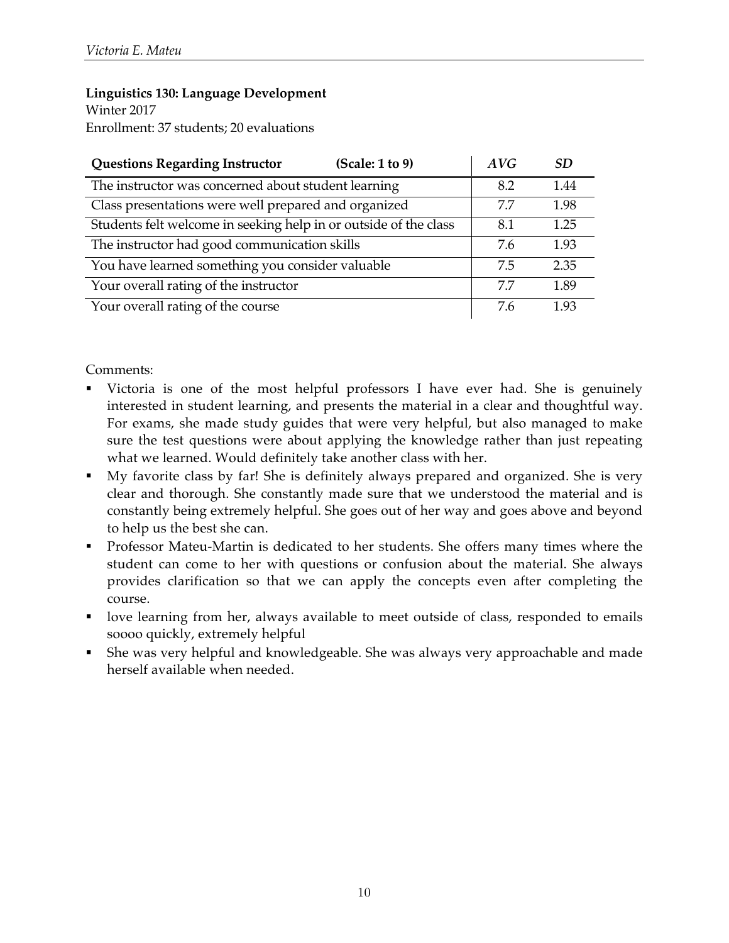Winter 2017 Enrollment: 37 students; 20 evaluations

| <b>Questions Regarding Instructor</b>                            | (Scale: 1 to 9) | AVG | SD.  |
|------------------------------------------------------------------|-----------------|-----|------|
| The instructor was concerned about student learning              |                 | 8.2 | 1.44 |
| Class presentations were well prepared and organized             |                 | 77  | 1.98 |
| Students felt welcome in seeking help in or outside of the class |                 | 8.1 | 1.25 |
| The instructor had good communication skills                     |                 | 7.6 | 1.93 |
| You have learned something you consider valuable                 |                 | 7.5 | 2.35 |
| Your overall rating of the instructor                            |                 | 7.7 | 1.89 |
| Your overall rating of the course                                |                 | 7.6 | 1.93 |

- Victoria is one of the most helpful professors I have ever had. She is genuinely interested in student learning, and presents the material in a clear and thoughtful way. For exams, she made study guides that were very helpful, but also managed to make sure the test questions were about applying the knowledge rather than just repeating what we learned. Would definitely take another class with her.
- § My favorite class by far! She is definitely always prepared and organized. She is very clear and thorough. She constantly made sure that we understood the material and is constantly being extremely helpful. She goes out of her way and goes above and beyond to help us the best she can.
- § Professor Mateu-Martin is dedicated to her students. She offers many times where the student can come to her with questions or confusion about the material. She always provides clarification so that we can apply the concepts even after completing the course.
- love learning from her, always available to meet outside of class, responded to emails soooo quickly, extremely helpful
- § She was very helpful and knowledgeable. She was always very approachable and made herself available when needed.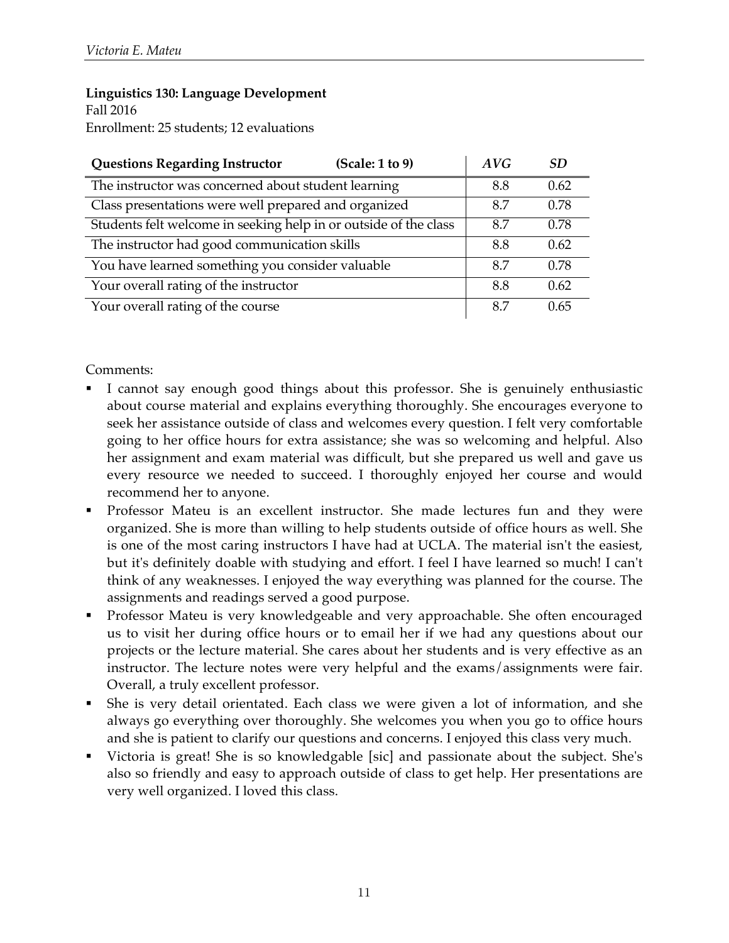Enrollment: 25 students; 12 evaluations

| (Scale: 1 to 9)<br><b>Questions Regarding Instructor</b>         | AVG | SD.  |
|------------------------------------------------------------------|-----|------|
| The instructor was concerned about student learning              | 8.8 | 0.62 |
| Class presentations were well prepared and organized             | 8.7 | 0.78 |
| Students felt welcome in seeking help in or outside of the class | 8.7 | 0.78 |
| The instructor had good communication skills                     | 8.8 | 0.62 |
| You have learned something you consider valuable                 | 8.7 | 0.78 |
| Your overall rating of the instructor                            | 8.8 | 0.62 |
| Your overall rating of the course                                | 8.7 | 0.65 |

- I cannot say enough good things about this professor. She is genuinely enthusiastic about course material and explains everything thoroughly. She encourages everyone to seek her assistance outside of class and welcomes every question. I felt very comfortable going to her office hours for extra assistance; she was so welcoming and helpful. Also her assignment and exam material was difficult, but she prepared us well and gave us every resource we needed to succeed. I thoroughly enjoyed her course and would recommend her to anyone.
- § Professor Mateu is an excellent instructor. She made lectures fun and they were organized. She is more than willing to help students outside of office hours as well. She is one of the most caring instructors I have had at UCLA. The material isn't the easiest, but it's definitely doable with studying and effort. I feel I have learned so much! I can't think of any weaknesses. I enjoyed the way everything was planned for the course. The assignments and readings served a good purpose.
- § Professor Mateu is very knowledgeable and very approachable. She often encouraged us to visit her during office hours or to email her if we had any questions about our projects or the lecture material. She cares about her students and is very effective as an instructor. The lecture notes were very helpful and the exams/assignments were fair. Overall, a truly excellent professor.
- She is very detail orientated. Each class we were given a lot of information, and she always go everything over thoroughly. She welcomes you when you go to office hours and she is patient to clarify our questions and concerns. I enjoyed this class very much.
- § Victoria is great! She is so knowledgable [sic] and passionate about the subject. She's also so friendly and easy to approach outside of class to get help. Her presentations are very well organized. I loved this class.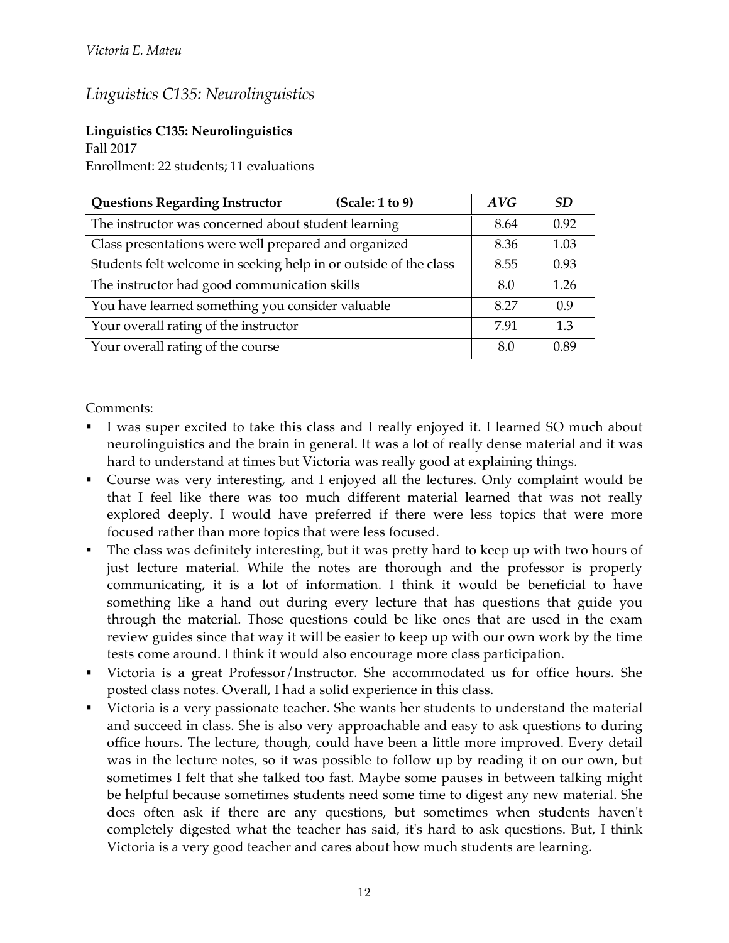# *Linguistics C135: Neurolinguistics*

### **Linguistics C135: Neurolinguistics**

Fall 2017

Enrollment: 22 students; 11 evaluations

| <b>Questions Regarding Instructor</b><br>(Scale: 1 to 9)         | AVG  | SD.  |
|------------------------------------------------------------------|------|------|
| The instructor was concerned about student learning              | 8.64 | 0.92 |
| Class presentations were well prepared and organized             | 8.36 | 1.03 |
| Students felt welcome in seeking help in or outside of the class | 8.55 | 0.93 |
| The instructor had good communication skills                     | 8.0  | 1.26 |
| You have learned something you consider valuable                 | 8.27 | 0.9  |
| Your overall rating of the instructor                            | 7.91 | 1.3  |
| Your overall rating of the course                                | 8.0  | 0.89 |

- I was super excited to take this class and I really enjoyed it. I learned SO much about neurolinguistics and the brain in general. It was a lot of really dense material and it was hard to understand at times but Victoria was really good at explaining things.
- § Course was very interesting, and I enjoyed all the lectures. Only complaint would be that I feel like there was too much different material learned that was not really explored deeply. I would have preferred if there were less topics that were more focused rather than more topics that were less focused.
- The class was definitely interesting, but it was pretty hard to keep up with two hours of just lecture material. While the notes are thorough and the professor is properly communicating, it is a lot of information. I think it would be beneficial to have something like a hand out during every lecture that has questions that guide you through the material. Those questions could be like ones that are used in the exam review guides since that way it will be easier to keep up with our own work by the time tests come around. I think it would also encourage more class participation.
- Victoria is a great Professor/Instructor. She accommodated us for office hours. She posted class notes. Overall, I had a solid experience in this class.
- Victoria is a very passionate teacher. She wants her students to understand the material and succeed in class. She is also very approachable and easy to ask questions to during office hours. The lecture, though, could have been a little more improved. Every detail was in the lecture notes, so it was possible to follow up by reading it on our own, but sometimes I felt that she talked too fast. Maybe some pauses in between talking might be helpful because sometimes students need some time to digest any new material. She does often ask if there are any questions, but sometimes when students haven't completely digested what the teacher has said, it's hard to ask questions. But, I think Victoria is a very good teacher and cares about how much students are learning.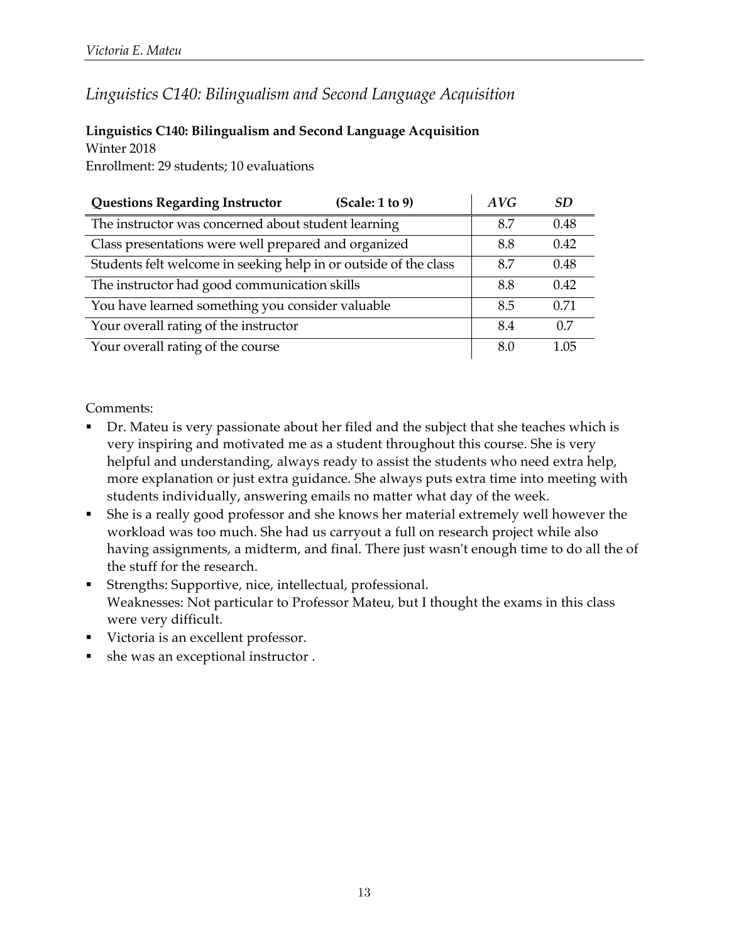# *Linguistics C140: Bilingualism and Second Language Acquisition*

#### **Linguistics C140: Bilingualism and Second Language Acquisition** Winter 2018

Enrollment: 29 students; 10 evaluations

| <b>Questions Regarding Instructor</b>                            | (Scale: 1 to 9) | AVG | SD.  |
|------------------------------------------------------------------|-----------------|-----|------|
| The instructor was concerned about student learning              |                 | 8.7 | 0.48 |
| Class presentations were well prepared and organized             |                 | 8.8 | 0.42 |
| Students felt welcome in seeking help in or outside of the class |                 | 8.7 | 0.48 |
| The instructor had good communication skills                     |                 | 8.8 | 0.42 |
| You have learned something you consider valuable                 |                 | 8.5 | 0.71 |
| Your overall rating of the instructor                            |                 | 8.4 | 0.7  |
| Your overall rating of the course                                |                 | 8.0 | 1.05 |

- Dr. Mateu is very passionate about her filed and the subject that she teaches which is very inspiring and motivated me as a student throughout this course. She is very helpful and understanding, always ready to assist the students who need extra help, more explanation or just extra guidance. She always puts extra time into meeting with students individually, answering emails no matter what day of the week.
- § She is a really good professor and she knows her material extremely well however the workload was too much. She had us carryout a full on research project while also having assignments, a midterm, and final. There just wasn't enough time to do all the of the stuff for the research.
- § Strengths: Supportive, nice, intellectual, professional. Weaknesses: Not particular to Professor Mateu, but I thought the exams in this class were very difficult.
- § Victoria is an excellent professor.
- § she was an exceptional instructor .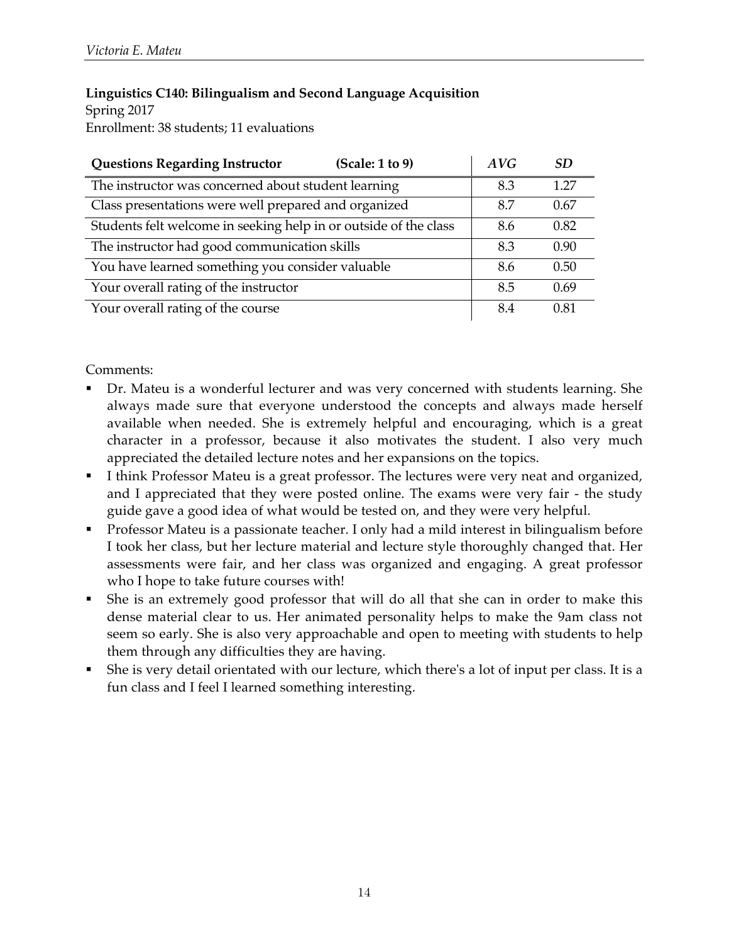### **Linguistics C140: Bilingualism and Second Language Acquisition**

Spring 2017 Enrollment: 38 students; 11 evaluations

| <b>Questions Regarding Instructor</b><br>(Scale: 1 to 9)         | AVG | SD.  |
|------------------------------------------------------------------|-----|------|
| The instructor was concerned about student learning              | 8.3 | 1.27 |
| Class presentations were well prepared and organized             | 8.7 | 0.67 |
| Students felt welcome in seeking help in or outside of the class | 8.6 | 0.82 |
| The instructor had good communication skills                     | 8.3 | 0.90 |
| You have learned something you consider valuable                 | 8.6 | 0.50 |
| Your overall rating of the instructor                            | 8.5 | 0.69 |
| Your overall rating of the course                                | 8.4 | 0.81 |

- Dr. Mateu is a wonderful lecturer and was very concerned with students learning. She always made sure that everyone understood the concepts and always made herself available when needed. She is extremely helpful and encouraging, which is a great character in a professor, because it also motivates the student. I also very much appreciated the detailed lecture notes and her expansions on the topics.
- I think Professor Mateu is a great professor. The lectures were very neat and organized, and I appreciated that they were posted online. The exams were very fair - the study guide gave a good idea of what would be tested on, and they were very helpful.
- § Professor Mateu is a passionate teacher. I only had a mild interest in bilingualism before I took her class, but her lecture material and lecture style thoroughly changed that. Her assessments were fair, and her class was organized and engaging. A great professor who I hope to take future courses with!
- § She is an extremely good professor that will do all that she can in order to make this dense material clear to us. Her animated personality helps to make the 9am class not seem so early. She is also very approachable and open to meeting with students to help them through any difficulties they are having.
- § She is very detail orientated with our lecture, which there's a lot of input per class. It is a fun class and I feel I learned something interesting.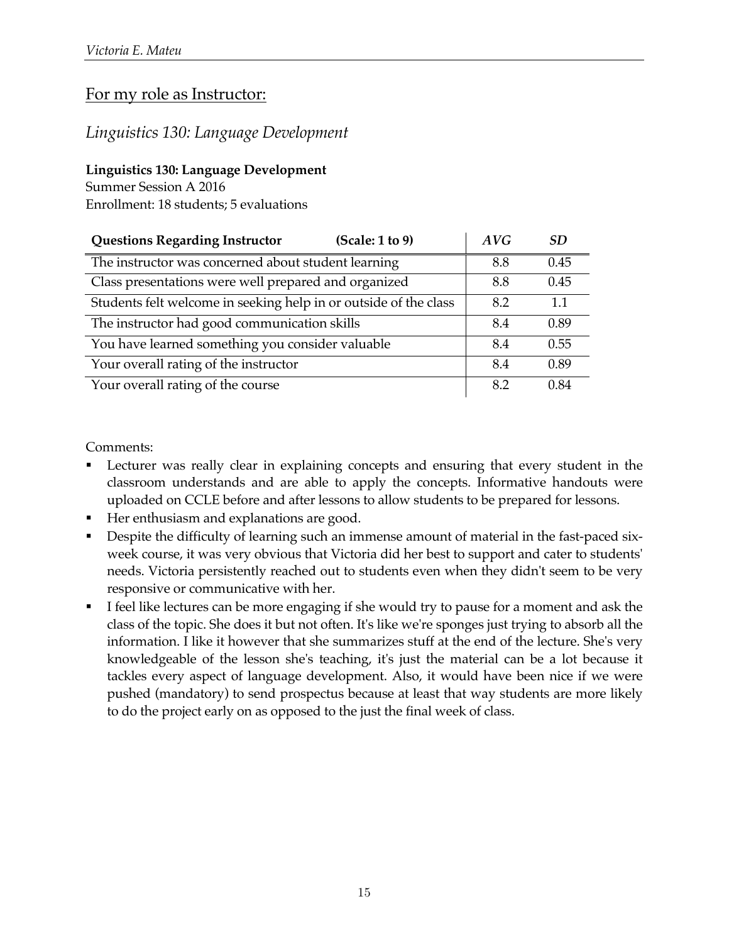### For my role as Instructor:

### *Linguistics 130: Language Development*

#### **Linguistics 130: Language Development**

Summer Session A 2016

Enrollment: 18 students; 5 evaluations

| <b>Questions Regarding Instructor</b><br>(Scale: 1 to 9)         | AVG | SD <sub>3</sub> |
|------------------------------------------------------------------|-----|-----------------|
| The instructor was concerned about student learning              | 8.8 | 0.45            |
| Class presentations were well prepared and organized             | 8.8 | 0.45            |
| Students felt welcome in seeking help in or outside of the class | 8.2 | 1.1             |
| The instructor had good communication skills                     | 8.4 | 0.89            |
| You have learned something you consider valuable                 | 8.4 | 0.55            |
| Your overall rating of the instructor                            | 8.4 | 0.89            |
| Your overall rating of the course                                | 8.2 | 0.84            |

- Lecturer was really clear in explaining concepts and ensuring that every student in the classroom understands and are able to apply the concepts. Informative handouts were uploaded on CCLE before and after lessons to allow students to be prepared for lessons.
- § Her enthusiasm and explanations are good.
- Despite the difficulty of learning such an immense amount of material in the fast-paced sixweek course, it was very obvious that Victoria did her best to support and cater to students' needs. Victoria persistently reached out to students even when they didn't seem to be very responsive or communicative with her.
- I feel like lectures can be more engaging if she would try to pause for a moment and ask the class of the topic. She does it but not often. It's like we're sponges just trying to absorb all the information. I like it however that she summarizes stuff at the end of the lecture. She's very knowledgeable of the lesson she's teaching, it's just the material can be a lot because it tackles every aspect of language development. Also, it would have been nice if we were pushed (mandatory) to send prospectus because at least that way students are more likely to do the project early on as opposed to the just the final week of class.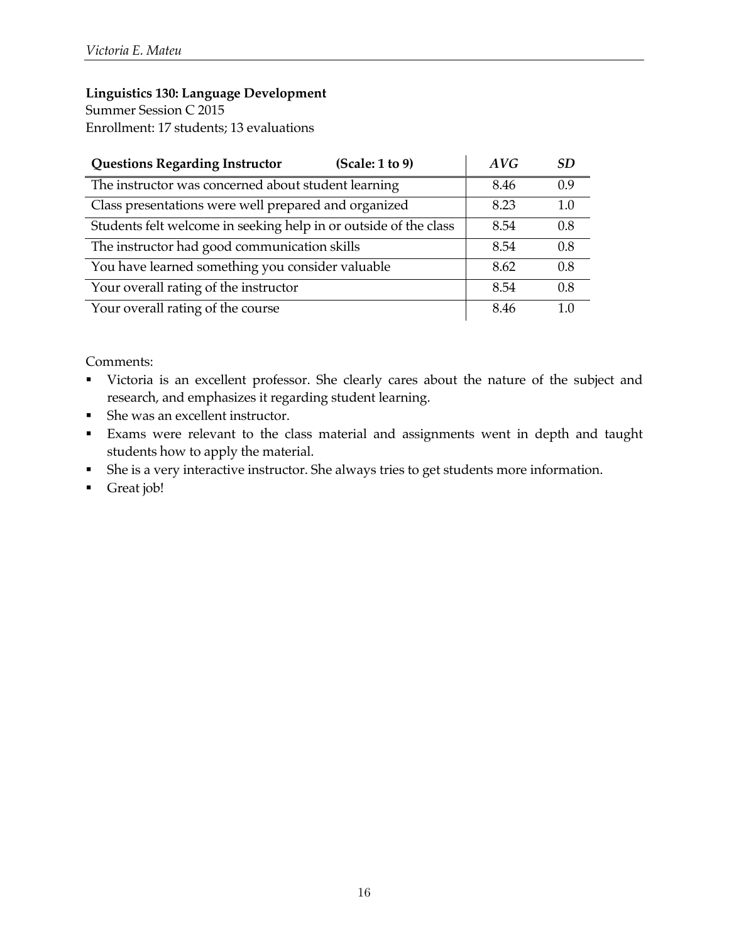Summer Session C 2015 Enrollment: 17 students; 13 evaluations

| <b>Questions Regarding Instructor</b><br>(Scale: 1 to 9)         | AVG  | <b>SD</b> |
|------------------------------------------------------------------|------|-----------|
| The instructor was concerned about student learning              | 8.46 | 0.9       |
| Class presentations were well prepared and organized             | 8.23 | 1.0       |
| Students felt welcome in seeking help in or outside of the class | 8.54 | 0.8       |
| The instructor had good communication skills                     | 8.54 | 0.8       |
| You have learned something you consider valuable                 | 8.62 | 0.8       |
| Your overall rating of the instructor                            | 8.54 | 0.8       |
| Your overall rating of the course                                | 8.46 |           |

- § Victoria is an excellent professor. She clearly cares about the nature of the subject and research, and emphasizes it regarding student learning.
- She was an excellent instructor.
- § Exams were relevant to the class material and assignments went in depth and taught students how to apply the material.
- § She is a very interactive instructor. She always tries to get students more information.
- § Great job!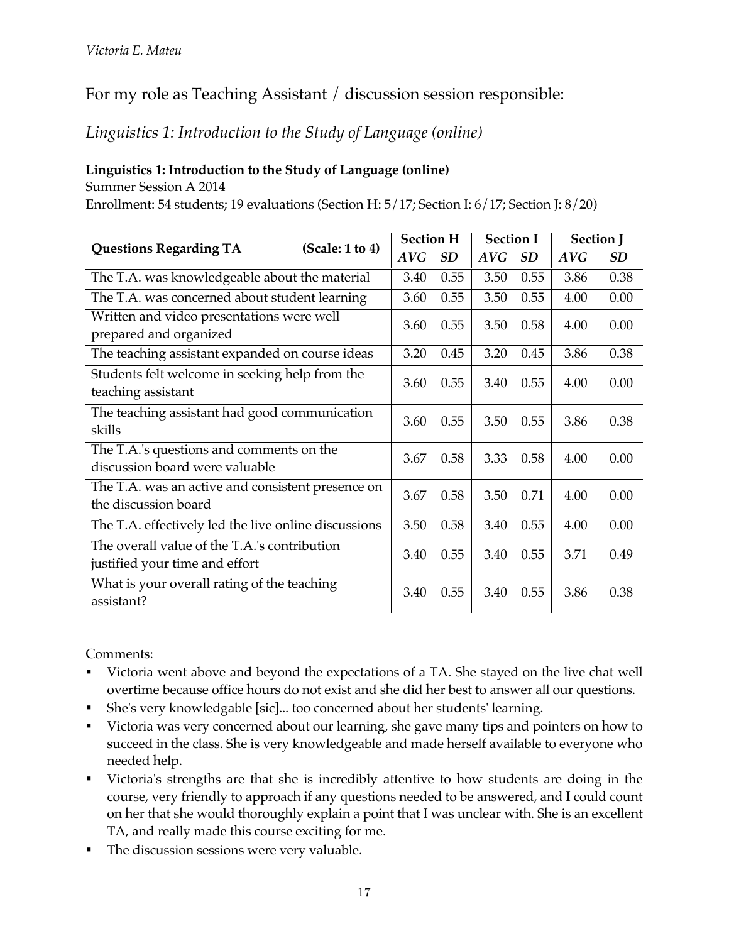# For my role as Teaching Assistant / discussion session responsible:

### *Linguistics 1: Introduction to the Study of Language (online)*

### **Linguistics 1: Introduction to the Study of Language (online)**

Summer Session A 2014

Enrollment: 54 students; 19 evaluations (Section H: 5/17; Section I: 6/17; Section J: 8/20)

| (Scale: 1 to 4)                                                                |  |      | <b>Section H</b> |      | <b>Section I</b> |            | <b>Section J</b> |  |
|--------------------------------------------------------------------------------|--|------|------------------|------|------------------|------------|------------------|--|
| <b>Questions Regarding TA</b>                                                  |  | AVG  | SD               | AVG  | <b>SD</b>        | <b>AVG</b> | <b>SD</b>        |  |
| The T.A. was knowledgeable about the material                                  |  | 3.40 | 0.55             | 3.50 | 0.55             | 3.86       | 0.38             |  |
| The T.A. was concerned about student learning                                  |  | 3.60 | 0.55             | 3.50 | 0.55             | 4.00       | 0.00             |  |
| Written and video presentations were well<br>prepared and organized            |  | 3.60 | 0.55             | 3.50 | 0.58             | 4.00       | 0.00             |  |
| The teaching assistant expanded on course ideas                                |  | 3.20 | 0.45             | 3.20 | 0.45             | 3.86       | 0.38             |  |
| Students felt welcome in seeking help from the<br>teaching assistant           |  | 3.60 | 0.55             | 3.40 | 0.55             | 4.00       | 0.00             |  |
| The teaching assistant had good communication<br>skills                        |  | 3.60 | 0.55             | 3.50 | 0.55             | 3.86       | 0.38             |  |
| The T.A.'s questions and comments on the<br>discussion board were valuable     |  | 3.67 | 0.58             | 3.33 | 0.58             | 4.00       | 0.00             |  |
| The T.A. was an active and consistent presence on<br>the discussion board      |  | 3.67 | 0.58             | 3.50 | 0.71             | 4.00       | 0.00             |  |
| The T.A. effectively led the live online discussions                           |  | 3.50 | 0.58             | 3.40 | 0.55             | 4.00       | 0.00             |  |
| The overall value of the T.A.'s contribution<br>justified your time and effort |  | 3.40 | 0.55             | 3.40 | 0.55             | 3.71       | 0.49             |  |
| What is your overall rating of the teaching<br>assistant?                      |  | 3.40 | 0.55             | 3.40 | 0.55             | 3.86       | 0.38             |  |

- Victoria went above and beyond the expectations of a TA. She stayed on the live chat well overtime because office hours do not exist and she did her best to answer all our questions.
- § She's very knowledgable [sic]... too concerned about her students' learning.
- Victoria was very concerned about our learning, she gave many tips and pointers on how to succeed in the class. She is very knowledgeable and made herself available to everyone who needed help.
- Victoria's strengths are that she is incredibly attentive to how students are doing in the course, very friendly to approach if any questions needed to be answered, and I could count on her that she would thoroughly explain a point that I was unclear with. She is an excellent TA, and really made this course exciting for me.
- **•** The discussion sessions were very valuable.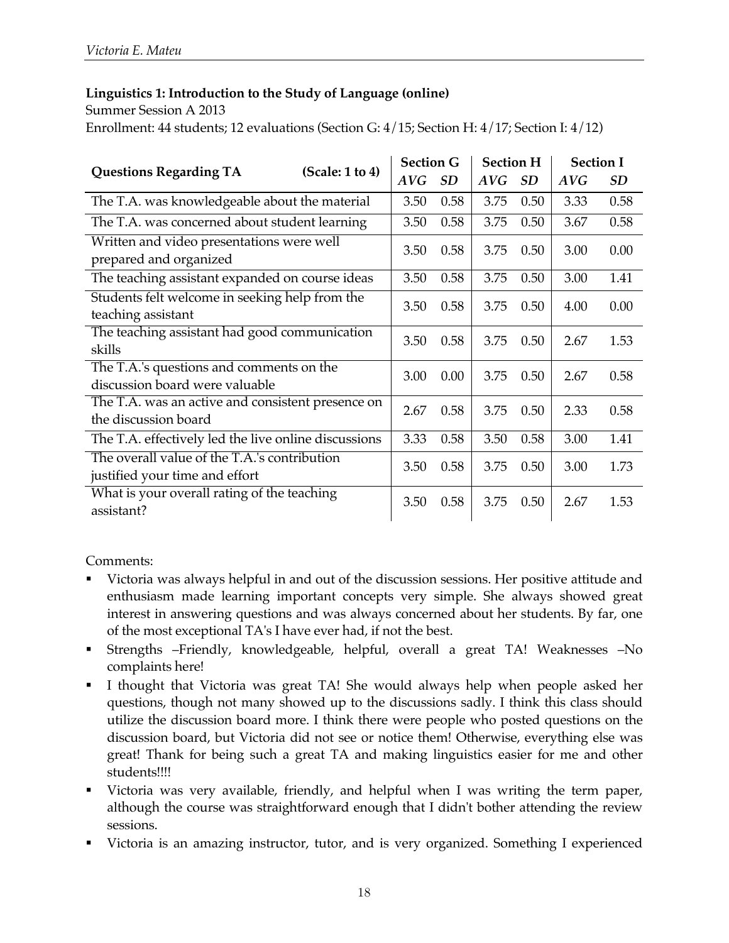#### **Linguistics 1: Introduction to the Study of Language (online)**

Summer Session A 2013 Enrollment: 44 students; 12 evaluations (Section G: 4/15; Section H: 4/17; Section I: 4/12)

| (Scale: 1 to 4)<br><b>Questions Regarding TA</b>                               |      | <b>Section G</b> | <b>Section H</b> |      | <b>Section I</b> |           |
|--------------------------------------------------------------------------------|------|------------------|------------------|------|------------------|-----------|
|                                                                                | AVG  | SD               | AVG              | SD   | AVG              | <b>SD</b> |
| The T.A. was knowledgeable about the material                                  | 3.50 | 0.58             | 3.75             | 0.50 | 3.33             | 0.58      |
| The T.A. was concerned about student learning                                  | 3.50 | 0.58             | 3.75             | 0.50 | 3.67             | 0.58      |
| Written and video presentations were well<br>prepared and organized            | 3.50 | 0.58             | 3.75             | 0.50 | 3.00             | 0.00      |
| The teaching assistant expanded on course ideas                                | 3.50 | 0.58             | 3.75             | 0.50 | 3.00             | 1.41      |
| Students felt welcome in seeking help from the<br>teaching assistant           | 3.50 | 0.58             | 3.75             | 0.50 | 4.00             | 0.00      |
| The teaching assistant had good communication<br>skills                        | 3.50 | 0.58             | 3.75             | 0.50 | 2.67             | 1.53      |
| The T.A.'s questions and comments on the<br>discussion board were valuable     | 3.00 | 0.00             | 3.75             | 0.50 | 2.67             | 0.58      |
| The T.A. was an active and consistent presence on<br>the discussion board      | 2.67 | 0.58             | 3.75             | 0.50 | 2.33             | 0.58      |
| The T.A. effectively led the live online discussions                           | 3.33 | 0.58             | 3.50             | 0.58 | 3.00             | 1.41      |
| The overall value of the T.A.'s contribution<br>justified your time and effort | 3.50 | 0.58             | 3.75             | 0.50 | 3.00             | 1.73      |
| What is your overall rating of the teaching<br>assistant?                      | 3.50 | 0.58             | 3.75             | 0.50 | 2.67             | 1.53      |

- Victoria was always helpful in and out of the discussion sessions. Her positive attitude and enthusiasm made learning important concepts very simple. She always showed great interest in answering questions and was always concerned about her students. By far, one of the most exceptional TA's I have ever had, if not the best.
- § Strengths –Friendly, knowledgeable, helpful, overall a great TA! Weaknesses –No complaints here!
- I thought that Victoria was great TA! She would always help when people asked her questions, though not many showed up to the discussions sadly. I think this class should utilize the discussion board more. I think there were people who posted questions on the discussion board, but Victoria did not see or notice them! Otherwise, everything else was great! Thank for being such a great TA and making linguistics easier for me and other students!!!!
- Victoria was very available, friendly, and helpful when I was writing the term paper, although the course was straightforward enough that I didn't bother attending the review sessions.
- Victoria is an amazing instructor, tutor, and is very organized. Something I experienced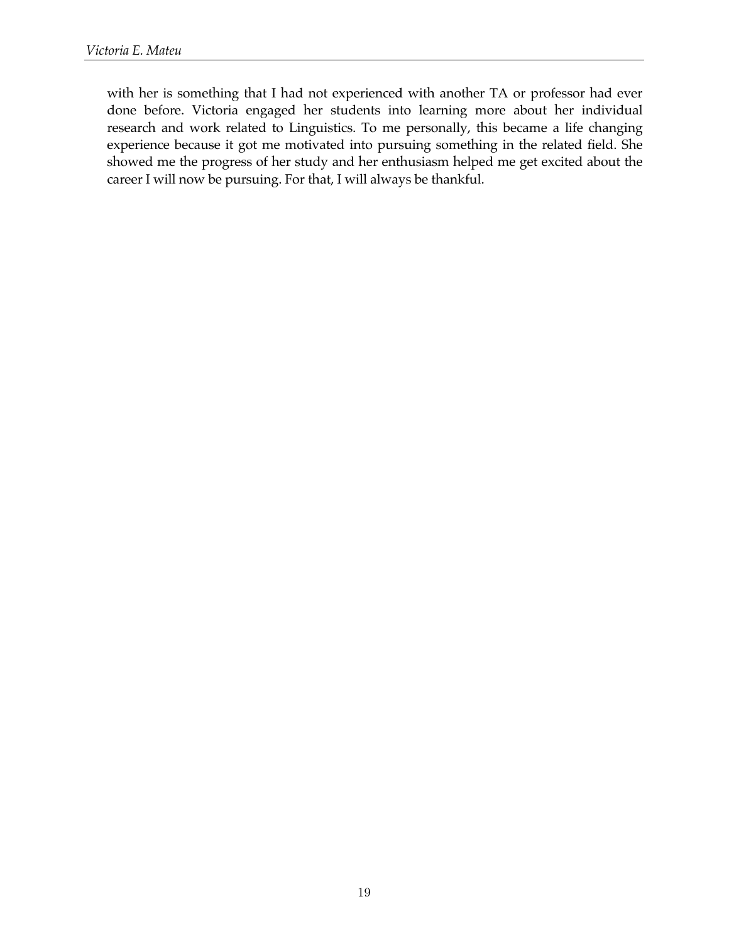with her is something that I had not experienced with another TA or professor had ever done before. Victoria engaged her students into learning more about her individual research and work related to Linguistics. To me personally, this became a life changing experience because it got me motivated into pursuing something in the related field. She showed me the progress of her study and her enthusiasm helped me get excited about the career I will now be pursuing. For that, I will always be thankful.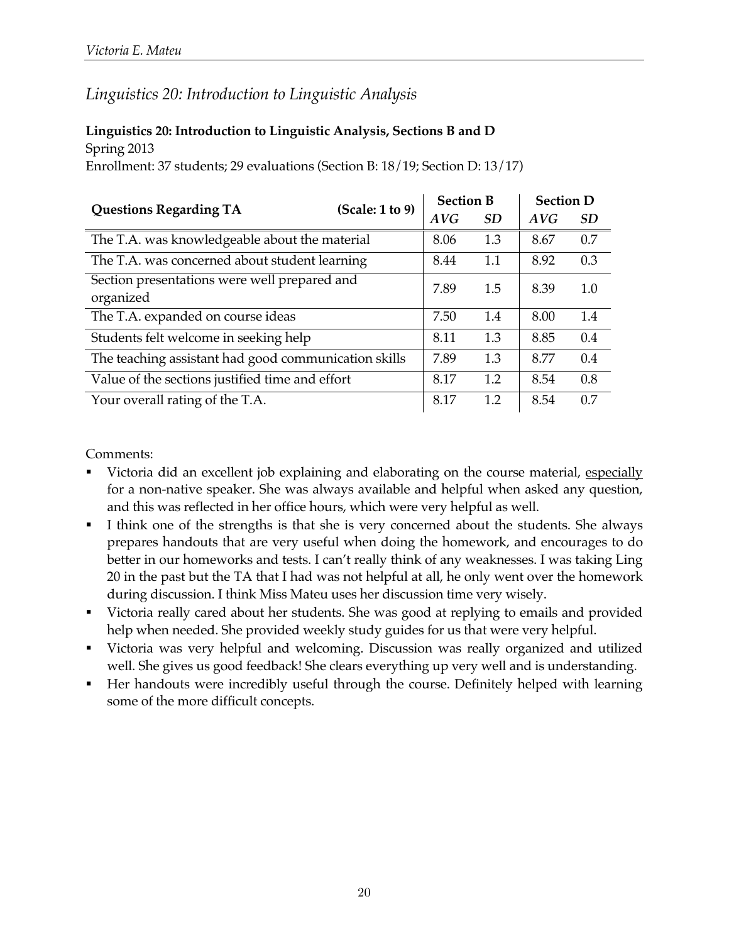### *Linguistics 20: Introduction to Linguistic Analysis*

### **Linguistics 20: Introduction to Linguistic Analysis, Sections B and D** Spring 2013

Enrollment: 37 students; 29 evaluations (Section B: 18/19; Section D: 13/17)

| (Scale: 1 to 9)                                           |  | <b>Section D</b><br><b>Section B</b> |           |      |           |
|-----------------------------------------------------------|--|--------------------------------------|-----------|------|-----------|
| <b>Questions Regarding TA</b>                             |  | AVG                                  | <i>SD</i> | AVG  | <b>SD</b> |
| The T.A. was knowledgeable about the material             |  | 8.06                                 | 1.3       | 8.67 | 0.7       |
| The T.A. was concerned about student learning             |  | 8.44                                 | 1.1       | 8.92 | 0.3       |
| Section presentations were well prepared and<br>organized |  | 7.89                                 | 1.5       | 8.39 | 1.0       |
| The T.A. expanded on course ideas                         |  | 7.50                                 | 1.4       | 8.00 | 1.4       |
| Students felt welcome in seeking help                     |  | 8.11                                 | 1.3       | 8.85 | 0.4       |
| The teaching assistant had good communication skills      |  | 7.89                                 | 1.3       | 8.77 | 0.4       |
| Value of the sections justified time and effort           |  | 8.17                                 | 1.2       | 8.54 | 0.8       |
| Your overall rating of the T.A.                           |  | 8.17                                 | 1.2       | 8.54 | 0.7       |

- Victoria did an excellent job explaining and elaborating on the course material, especially for a non-native speaker. She was always available and helpful when asked any question, and this was reflected in her office hours, which were very helpful as well.
- I think one of the strengths is that she is very concerned about the students. She always prepares handouts that are very useful when doing the homework, and encourages to do better in our homeworks and tests. I can't really think of any weaknesses. I was taking Ling 20 in the past but the TA that I had was not helpful at all, he only went over the homework during discussion. I think Miss Mateu uses her discussion time very wisely.
- Victoria really cared about her students. She was good at replying to emails and provided help when needed. She provided weekly study guides for us that were very helpful.
- § Victoria was very helpful and welcoming. Discussion was really organized and utilized well. She gives us good feedback! She clears everything up very well and is understanding.
- § Her handouts were incredibly useful through the course. Definitely helped with learning some of the more difficult concepts.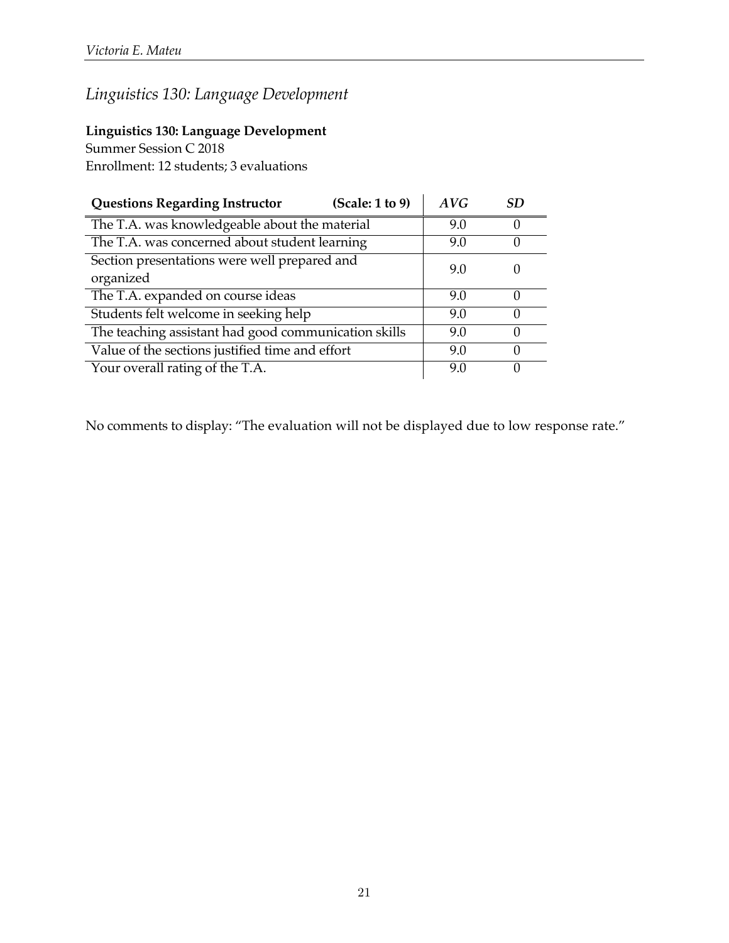### **Linguistics 130: Language Development**

Summer Session C 2018

Enrollment: 12 students; 3 evaluations

| <b>Questions Regarding Instructor</b>                | (Scale: 1 to 9) | AVG | SD |
|------------------------------------------------------|-----------------|-----|----|
| The T.A. was knowledgeable about the material        |                 | 9.0 | ∩  |
| The T.A. was concerned about student learning        |                 | 9.0 | 0  |
| Section presentations were well prepared and         |                 | 9.0 |    |
| organized                                            |                 |     |    |
| The T.A. expanded on course ideas                    |                 | 9.0 | O  |
| Students felt welcome in seeking help                |                 | 9.0 |    |
| The teaching assistant had good communication skills |                 | 9.0 | ∩  |
| Value of the sections justified time and effort      |                 | 9.0 | O  |
| Your overall rating of the T.A.                      |                 | 9.0 |    |

No comments to display: "The evaluation will not be displayed due to low response rate."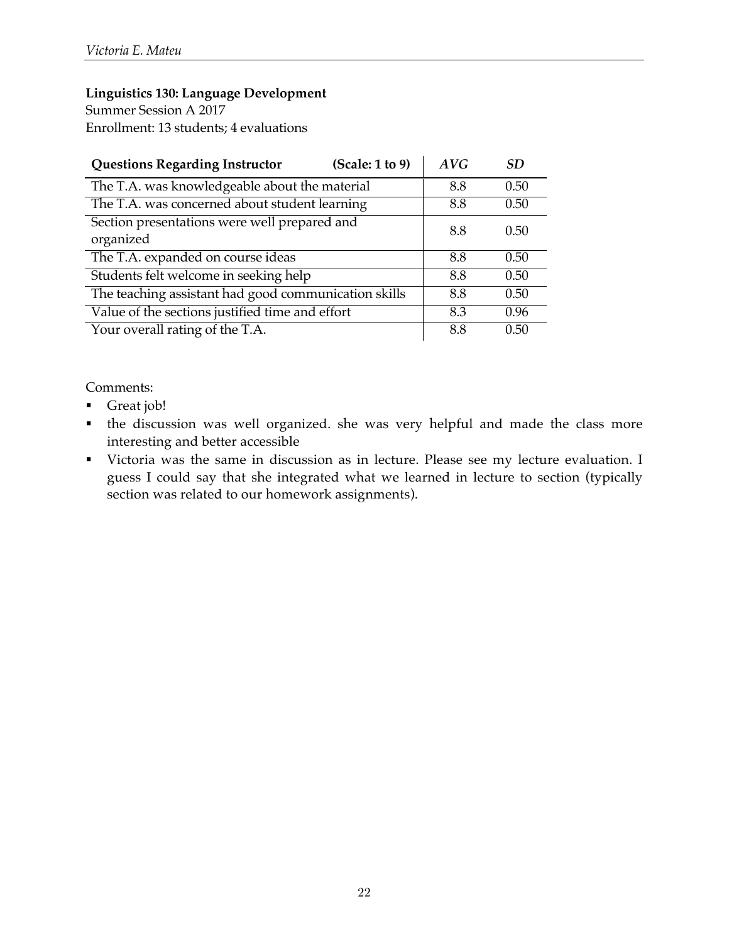Summer Session A 2017 Enrollment: 13 students; 4 evaluations

| <b>Questions Regarding Instructor</b>                | (Scale: 1 to 9) | AVG | SD   |
|------------------------------------------------------|-----------------|-----|------|
| The T.A. was knowledgeable about the material        |                 | 8.8 | 0.50 |
| The T.A. was concerned about student learning        |                 | 8.8 | 0.50 |
| Section presentations were well prepared and         |                 | 8.8 | 0.50 |
| organized                                            |                 |     |      |
| The T.A. expanded on course ideas                    |                 | 8.8 | 0.50 |
| Students felt welcome in seeking help                |                 | 8.8 | 0.50 |
| The teaching assistant had good communication skills |                 | 8.8 | 0.50 |
| Value of the sections justified time and effort      |                 | 8.3 | 0.96 |
| Your overall rating of the T.A.                      |                 | 8.8 | 0.50 |

- Great job!
- § the discussion was well organized. she was very helpful and made the class more interesting and better accessible
- § Victoria was the same in discussion as in lecture. Please see my lecture evaluation. I guess I could say that she integrated what we learned in lecture to section (typically section was related to our homework assignments).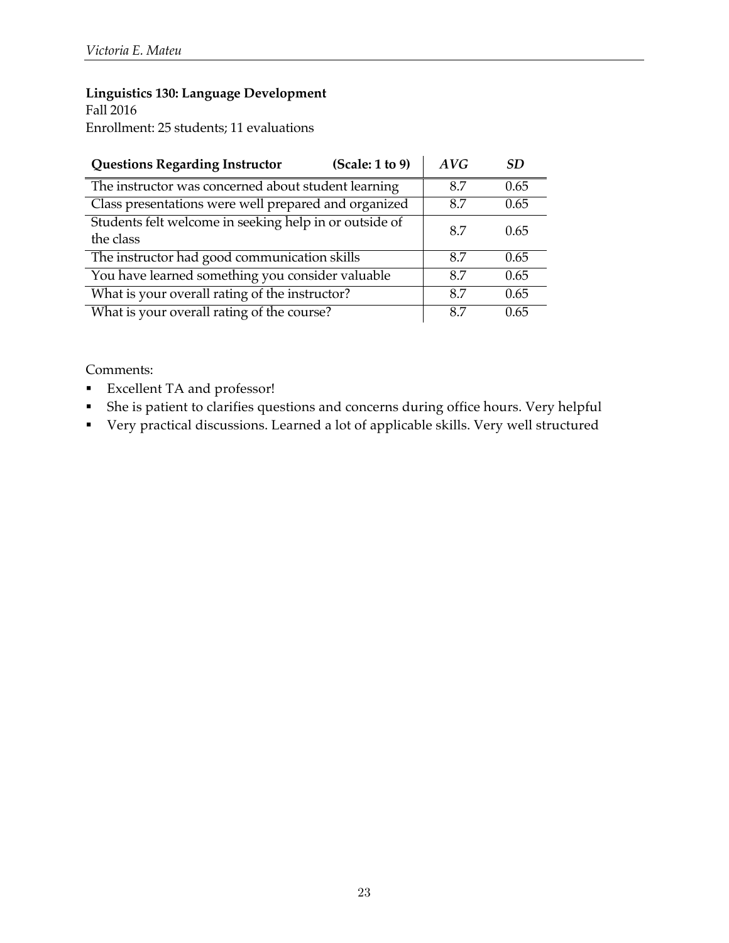Fall 2016 Enrollment: 25 students; 11 evaluations

| (Scale: 1 to 9)<br><b>Questions Regarding Instructor</b>            | AVG | SD.  |
|---------------------------------------------------------------------|-----|------|
| The instructor was concerned about student learning                 | 8.7 | 0.65 |
| Class presentations were well prepared and organized                | 8.7 | 0.65 |
| Students felt welcome in seeking help in or outside of<br>the class | 8.7 | 0.65 |
| The instructor had good communication skills                        | 8.7 | 0.65 |
| You have learned something you consider valuable                    | 8.7 | 0.65 |
| What is your overall rating of the instructor?                      | 87  | 0.65 |
| What is your overall rating of the course?                          | 8.7 | 0.65 |

- § Excellent TA and professor!
- § She is patient to clarifies questions and concerns during office hours. Very helpful
- § Very practical discussions. Learned a lot of applicable skills. Very well structured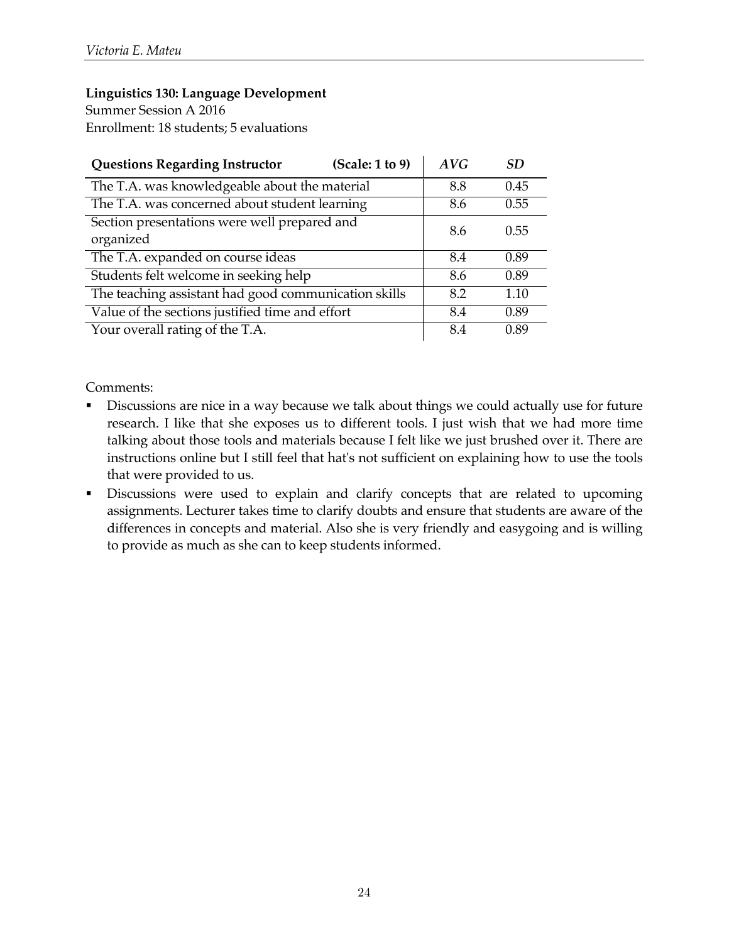Summer Session A 2016 Enrollment: 18 students; 5 evaluations

| <b>Questions Regarding Instructor</b>                | (Scale: 1 to 9) | AVG | SD.  |
|------------------------------------------------------|-----------------|-----|------|
| The T.A. was knowledgeable about the material        |                 | 8.8 | 0.45 |
| The T.A. was concerned about student learning        |                 | 8.6 | 0.55 |
| Section presentations were well prepared and         |                 | 8.6 | 0.55 |
| organized                                            |                 |     |      |
| The T.A. expanded on course ideas                    |                 | 8.4 | 0.89 |
| Students felt welcome in seeking help                |                 | 8.6 | 0.89 |
| The teaching assistant had good communication skills |                 | 8.2 | 1.10 |
| Value of the sections justified time and effort      |                 | 8.4 | 0.89 |
| Your overall rating of the T.A.                      |                 | 8.4 | 0.89 |

- Discussions are nice in a way because we talk about things we could actually use for future research. I like that she exposes us to different tools. I just wish that we had more time talking about those tools and materials because I felt like we just brushed over it. There are instructions online but I still feel that hat's not sufficient on explaining how to use the tools that were provided to us.
- § Discussions were used to explain and clarify concepts that are related to upcoming assignments. Lecturer takes time to clarify doubts and ensure that students are aware of the differences in concepts and material. Also she is very friendly and easygoing and is willing to provide as much as she can to keep students informed.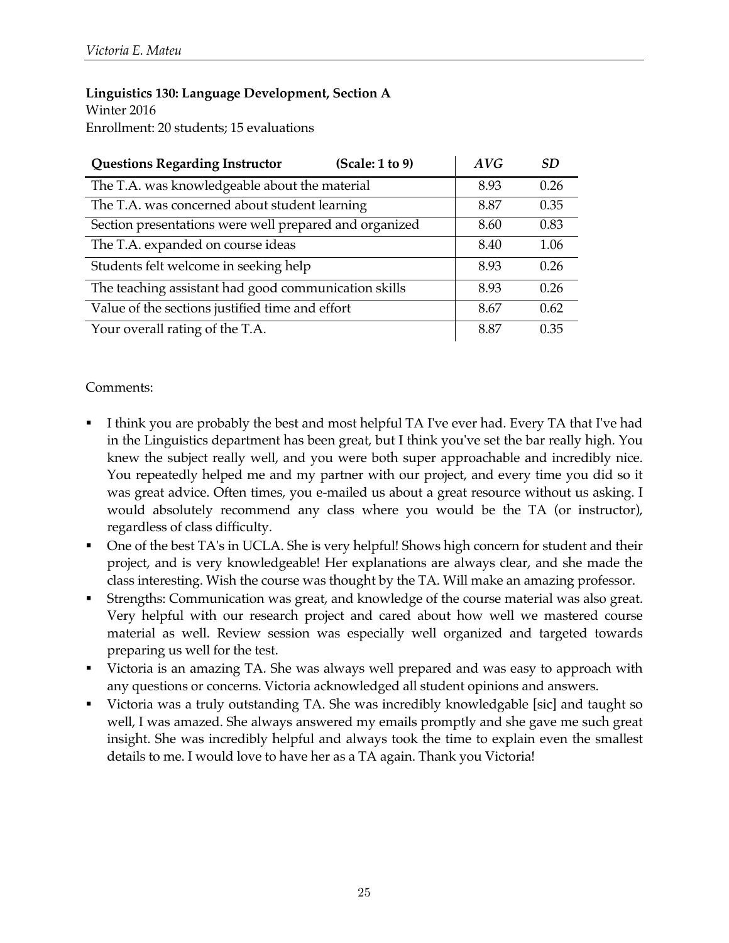#### **Linguistics 130: Language Development, Section A** Winter 2016

Enrollment: 20 students; 15 evaluations

| <b>Questions Regarding Instructor</b><br>(Scale: 1 to 9) | AVG  | <b>SD</b> |
|----------------------------------------------------------|------|-----------|
| The T.A. was knowledgeable about the material            | 8.93 | 0.26      |
| The T.A. was concerned about student learning            | 8.87 | 0.35      |
| Section presentations were well prepared and organized   | 8.60 | 0.83      |
| The T.A. expanded on course ideas                        | 8.40 | 1.06      |
| Students felt welcome in seeking help                    | 8.93 | 0.26      |
| The teaching assistant had good communication skills     | 8.93 | 0.26      |
| Value of the sections justified time and effort          | 8.67 | 0.62      |
| Your overall rating of the T.A.                          | 8.87 | 0.35      |

- I think you are probably the best and most helpful TA I've ever had. Every TA that I've had in the Linguistics department has been great, but I think you've set the bar really high. You knew the subject really well, and you were both super approachable and incredibly nice. You repeatedly helped me and my partner with our project, and every time you did so it was great advice. Often times, you e-mailed us about a great resource without us asking. I would absolutely recommend any class where you would be the TA (or instructor), regardless of class difficulty.
- § One of the best TA's in UCLA. She is very helpful! Shows high concern for student and their project, and is very knowledgeable! Her explanations are always clear, and she made the class interesting. Wish the course was thought by the TA. Will make an amazing professor.
- § Strengths: Communication was great, and knowledge of the course material was also great. Very helpful with our research project and cared about how well we mastered course material as well. Review session was especially well organized and targeted towards preparing us well for the test.
- Victoria is an amazing TA. She was always well prepared and was easy to approach with any questions or concerns. Victoria acknowledged all student opinions and answers.
- Victoria was a truly outstanding TA. She was incredibly knowledgable [sic] and taught so well, I was amazed. She always answered my emails promptly and she gave me such great insight. She was incredibly helpful and always took the time to explain even the smallest details to me. I would love to have her as a TA again. Thank you Victoria!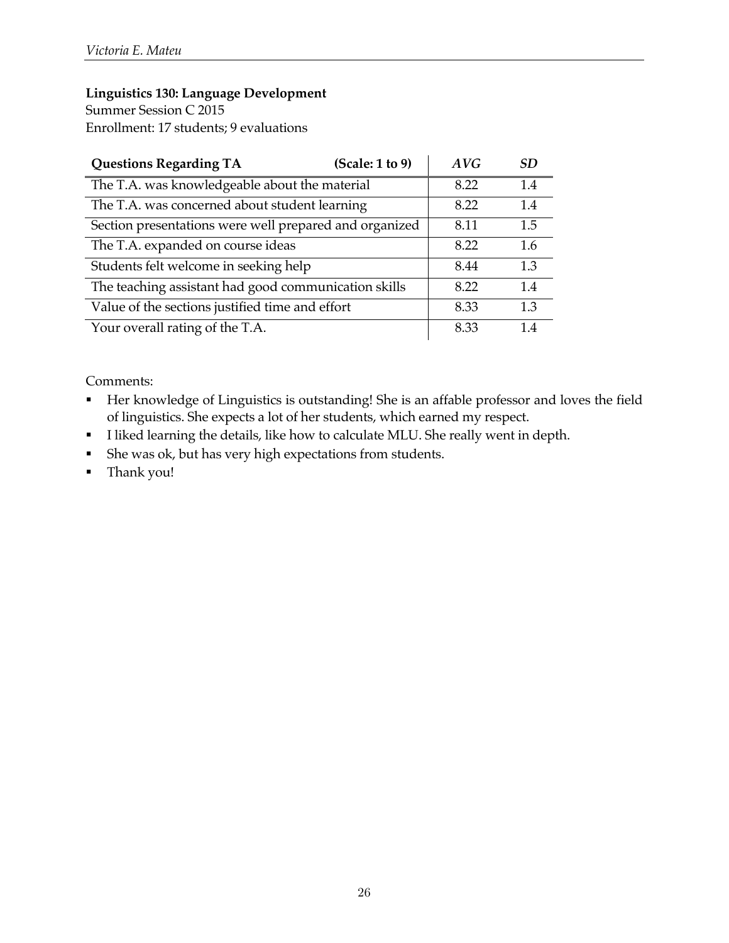Summer Session C 2015 Enrollment: 17 students; 9 evaluations

| <b>Questions Regarding TA</b>                          | (Scale: 1 to 9) | AVG  | SD. |
|--------------------------------------------------------|-----------------|------|-----|
| The T.A. was knowledgeable about the material          |                 | 8.22 | 1.4 |
| The T.A. was concerned about student learning          |                 | 8.22 | 1.4 |
| Section presentations were well prepared and organized |                 | 8.11 | 1.5 |
| The T.A. expanded on course ideas                      |                 | 8.22 | 1.6 |
| Students felt welcome in seeking help                  |                 | 8.44 | 1.3 |
| The teaching assistant had good communication skills   |                 | 8.22 | 1.4 |
| Value of the sections justified time and effort        |                 | 8.33 | 1.3 |
| Your overall rating of the T.A.                        |                 | 8.33 | 14  |

- § Her knowledge of Linguistics is outstanding! She is an affable professor and loves the field of linguistics. She expects a lot of her students, which earned my respect.
- § I liked learning the details, like how to calculate MLU. She really went in depth.
- § She was ok, but has very high expectations from students.
- § Thank you!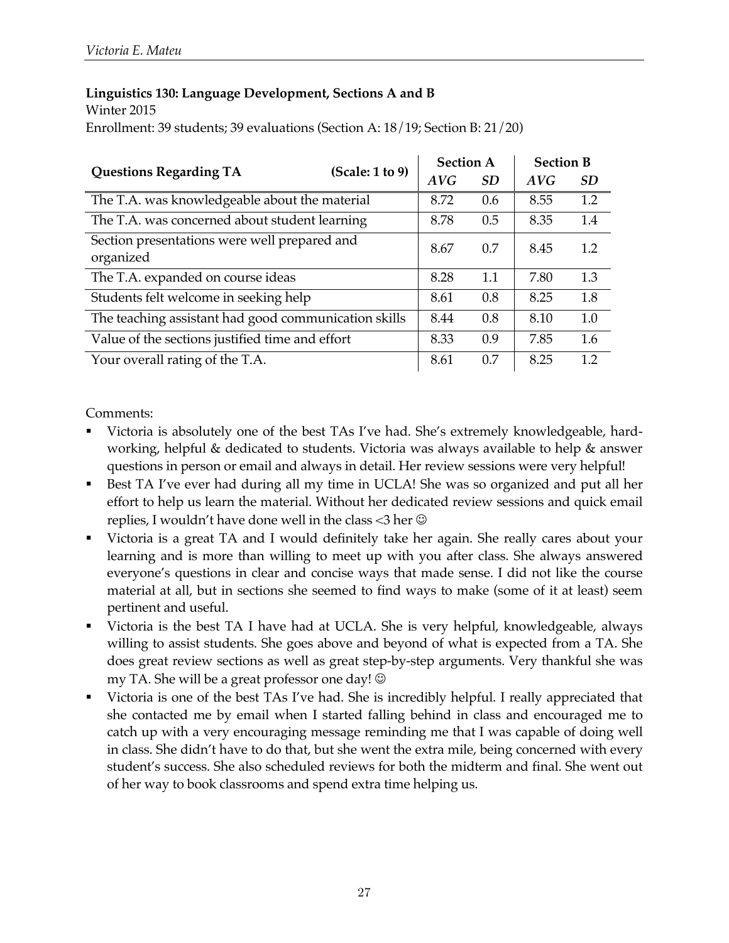### **Linguistics 130: Language Development, Sections A and B**

Winter 2015

Enrollment: 39 students; 39 evaluations (Section A: 18/19; Section B: 21/20)

|                                                           | (Scale: 1 to 9) | <b>Section A</b> |           | <b>Section B</b> |           |
|-----------------------------------------------------------|-----------------|------------------|-----------|------------------|-----------|
| <b>Questions Regarding TA</b>                             |                 | AVG              | <i>SD</i> | AVG              | <b>SD</b> |
| The T.A. was knowledgeable about the material             |                 | 8.72             | 0.6       | 8.55             | 1.2       |
| The T.A. was concerned about student learning             |                 | 8.78             | 0.5       | 8.35             | 1.4       |
| Section presentations were well prepared and<br>organized |                 | 8.67             | 0.7       | 8.45             | 1.2       |
| The T.A. expanded on course ideas                         |                 | 8.28             | 1.1       | 7.80             | 1.3       |
| Students felt welcome in seeking help                     |                 | 8.61             | 0.8       | 8.25             | 1.8       |
| The teaching assistant had good communication skills      |                 | 8.44             | 0.8       | 8.10             | 1.0       |
| Value of the sections justified time and effort           |                 | 8.33             | 0.9       | 7.85             | 1.6       |
| Your overall rating of the T.A.                           |                 | 8.61             | 0.7       | 8.25             | 1.2       |

- Victoria is absolutely one of the best TAs I've had. She's extremely knowledgeable, hardworking, helpful & dedicated to students. Victoria was always available to help & answer questions in person or email and always in detail. Her review sessions were very helpful!
- Best TA I've ever had during all my time in UCLA! She was so organized and put all her effort to help us learn the material. Without her dedicated review sessions and quick email replies, I wouldn't have done well in the class  $<$ 3 her  $\odot$
- § Victoria is a great TA and I would definitely take her again. She really cares about your learning and is more than willing to meet up with you after class. She always answered everyone's questions in clear and concise ways that made sense. I did not like the course material at all, but in sections she seemed to find ways to make (some of it at least) seem pertinent and useful.
- § Victoria is the best TA I have had at UCLA. She is very helpful, knowledgeable, always willing to assist students. She goes above and beyond of what is expected from a TA. She does great review sections as well as great step-by-step arguments. Very thankful she was my TA. She will be a great professor one day!  $\odot$
- Victoria is one of the best TAs I've had. She is incredibly helpful. I really appreciated that she contacted me by email when I started falling behind in class and encouraged me to catch up with a very encouraging message reminding me that I was capable of doing well in class. She didn't have to do that, but she went the extra mile, being concerned with every student's success. She also scheduled reviews for both the midterm and final. She went out of her way to book classrooms and spend extra time helping us.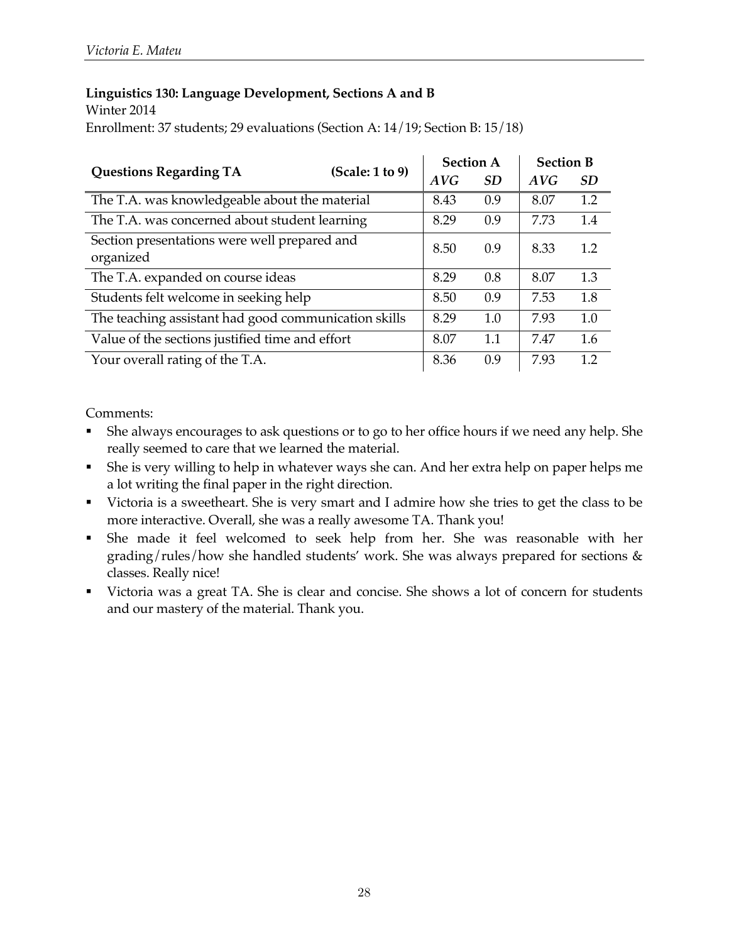### **Linguistics 130: Language Development, Sections A and B**

Winter 2014

Enrollment: 37 students; 29 evaluations (Section A: 14/19; Section B: 15/18)

| <b>Questions Regarding TA</b>                             |                 | <b>Section A</b> |           | <b>Section B</b> |           |
|-----------------------------------------------------------|-----------------|------------------|-----------|------------------|-----------|
|                                                           | (Scale: 1 to 9) | AVG              | <i>SD</i> | AVG              | <i>SD</i> |
| The T.A. was knowledgeable about the material             |                 | 8.43             | 0.9       | 8.07             | 1.2       |
| The T.A. was concerned about student learning             |                 | 8.29             | 0.9       | 7.73             | 1.4       |
| Section presentations were well prepared and<br>organized |                 | 8.50             | 0.9       | 8.33             | 1.2       |
| The T.A. expanded on course ideas                         |                 | 8.29             | 0.8       | 8.07             | 1.3       |
| Students felt welcome in seeking help                     |                 | 8.50             | 0.9       | 7.53             | 1.8       |
| The teaching assistant had good communication skills      |                 | 8.29             | 1.0       | 7.93             | 1.0       |
| Value of the sections justified time and effort           |                 | 8.07             | 1.1       | 7.47             | 1.6       |
| Your overall rating of the T.A.                           |                 | 8.36             | 0.9       | 7.93             | 1.2       |

- § She always encourages to ask questions or to go to her office hours if we need any help. She really seemed to care that we learned the material.
- § She is very willing to help in whatever ways she can. And her extra help on paper helps me a lot writing the final paper in the right direction.
- Victoria is a sweetheart. She is very smart and I admire how she tries to get the class to be more interactive. Overall, she was a really awesome TA. Thank you!
- § She made it feel welcomed to seek help from her. She was reasonable with her grading/rules/how she handled students' work. She was always prepared for sections  $\&$ classes. Really nice!
- Victoria was a great TA. She is clear and concise. She shows a lot of concern for students and our mastery of the material. Thank you.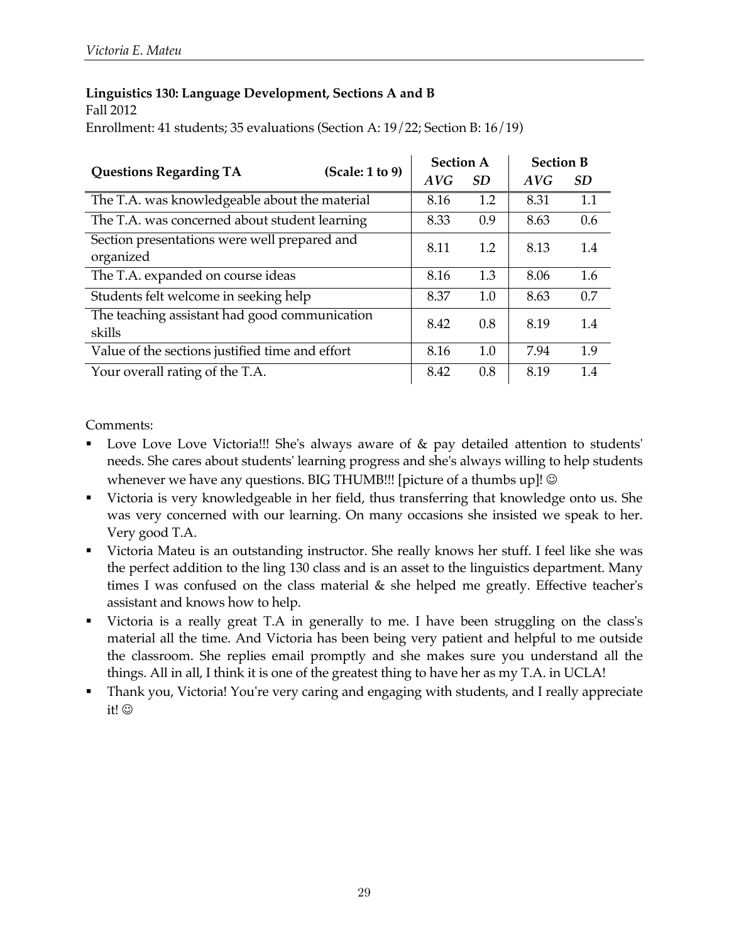#### **Linguistics 130: Language Development, Sections A and B** Fall 2012

Enrollment: 41 students; 35 evaluations (Section A: 19/22; Section B: 16/19)

|                                                           |  | <b>Section A</b><br>(Scale: 1 to 9) |     |      | <b>Section B</b> |  |
|-----------------------------------------------------------|--|-------------------------------------|-----|------|------------------|--|
| <b>Questions Regarding TA</b>                             |  | AVG                                 | SD  | AVG  | <b>SD</b>        |  |
| The T.A. was knowledgeable about the material             |  | 8.16                                | 1.2 | 8.31 | 1.1              |  |
| The T.A. was concerned about student learning             |  | 8.33                                | 0.9 | 8.63 | 0.6              |  |
| Section presentations were well prepared and<br>organized |  | 8.11                                | 1.2 | 8.13 | 1.4              |  |
| The T.A. expanded on course ideas                         |  | 8.16                                | 1.3 | 8.06 | 1.6              |  |
| Students felt welcome in seeking help                     |  | 8.37                                | 1.0 | 8.63 | 0.7              |  |
| The teaching assistant had good communication<br>skills   |  | 8.42                                | 0.8 | 8.19 | 1.4              |  |
| Value of the sections justified time and effort           |  | 8.16                                | 1.0 | 7.94 | 1.9              |  |
| Your overall rating of the T.A.                           |  | 8.42                                | 0.8 | 8.19 | 1.4              |  |

- Love Love Love Victoria!!! She's always aware of & pay detailed attention to students' needs. She cares about students' learning progress and she's always willing to help students whenever we have any questions. BIG THUMB!!! [picture of a thumbs up]!  $\odot$
- Victoria is very knowledgeable in her field, thus transferring that knowledge onto us. She was very concerned with our learning. On many occasions she insisted we speak to her. Very good T.A.
- § Victoria Mateu is an outstanding instructor. She really knows her stuff. I feel like she was the perfect addition to the ling 130 class and is an asset to the linguistics department. Many times I was confused on the class material & she helped me greatly. Effective teacher's assistant and knows how to help.
- § Victoria is a really great T.A in generally to me. I have been struggling on the class's material all the time. And Victoria has been being very patient and helpful to me outside the classroom. She replies email promptly and she makes sure you understand all the things. All in all, I think it is one of the greatest thing to have her as my T.A. in UCLA!
- § Thank you, Victoria! You're very caring and engaging with students, and I really appreciate it! ©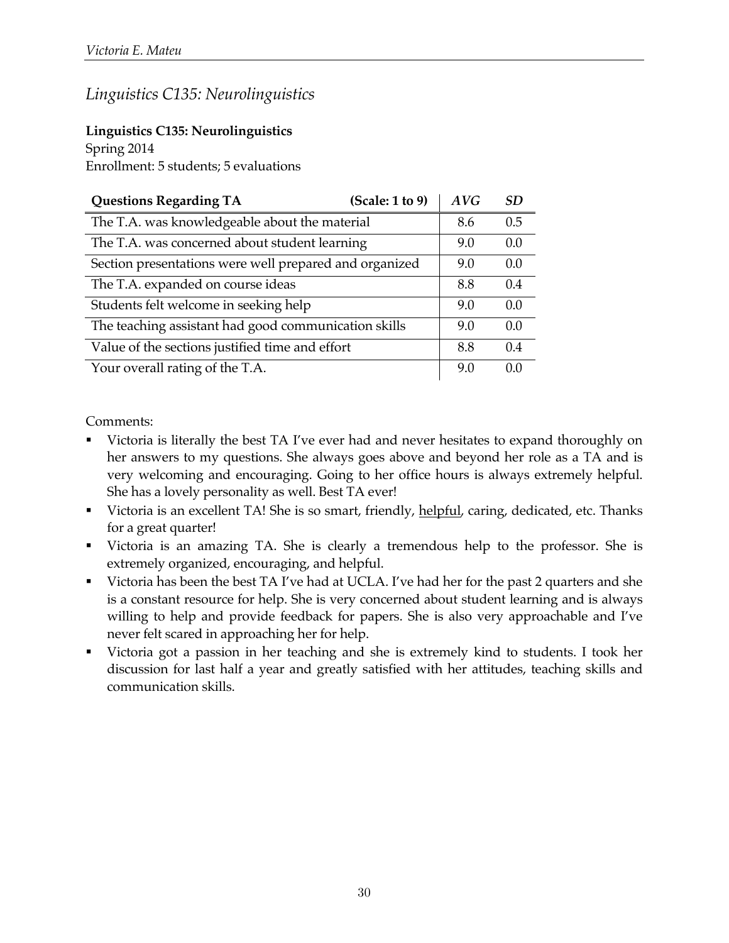### *Linguistics C135: Neurolinguistics*

### **Linguistics C135: Neurolinguistics**

Spring 2014 Enrollment: 5 students; 5 evaluations

| <b>Questions Regarding TA</b>                          | (Scale: 1 to 9) | AVG | <b>SD</b> |
|--------------------------------------------------------|-----------------|-----|-----------|
| The T.A. was knowledgeable about the material          |                 | 8.6 | 0.5       |
| The T.A. was concerned about student learning          |                 | 9.0 | 0.0       |
| Section presentations were well prepared and organized |                 | 9.0 | 0.0       |
| The T.A. expanded on course ideas                      |                 | 8.8 | 0.4       |
| Students felt welcome in seeking help                  |                 | 9.0 | 0.0       |
| The teaching assistant had good communication skills   |                 | 9.0 | 0.0       |
| Value of the sections justified time and effort        |                 | 8.8 | 0.4       |
| Your overall rating of the T.A.                        |                 | 9.0 | 00        |

- § Victoria is literally the best TA I've ever had and never hesitates to expand thoroughly on her answers to my questions. She always goes above and beyond her role as a TA and is very welcoming and encouraging. Going to her office hours is always extremely helpful. She has a lovely personality as well. Best TA ever!
- Victoria is an excellent TA! She is so smart, friendly, helpful, caring, dedicated, etc. Thanks for a great quarter!
- § Victoria is an amazing TA. She is clearly a tremendous help to the professor. She is extremely organized, encouraging, and helpful.
- § Victoria has been the best TA I've had at UCLA. I've had her for the past 2 quarters and she is a constant resource for help. She is very concerned about student learning and is always willing to help and provide feedback for papers. She is also very approachable and I've never felt scared in approaching her for help.
- § Victoria got a passion in her teaching and she is extremely kind to students. I took her discussion for last half a year and greatly satisfied with her attitudes, teaching skills and communication skills.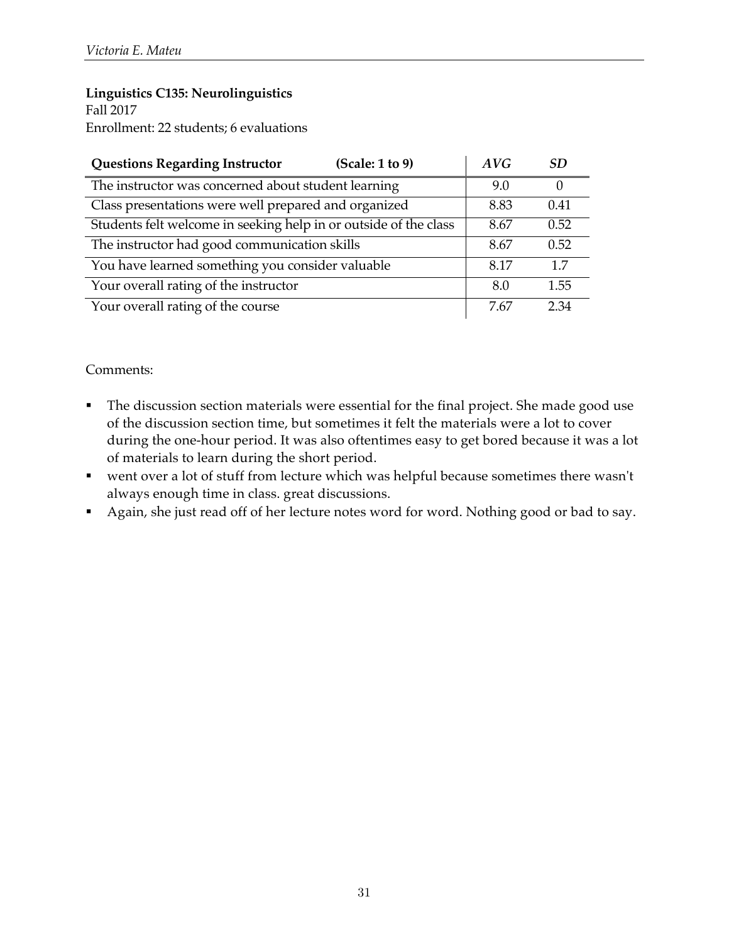### **Linguistics C135: Neurolinguistics**

Fall 2017 Enrollment: 22 students; 6 evaluations

| <b>Questions Regarding Instructor</b><br>(Scale: 1 to 9)         | AVG  | SD.      |
|------------------------------------------------------------------|------|----------|
| The instructor was concerned about student learning              |      | $\Omega$ |
| Class presentations were well prepared and organized             | 8.83 | 0.41     |
| Students felt welcome in seeking help in or outside of the class | 8.67 | 0.52     |
| The instructor had good communication skills                     |      | 0.52     |
| You have learned something you consider valuable                 | 8.17 | 17       |
| Your overall rating of the instructor                            | 8.0  | 1.55     |
| Your overall rating of the course                                | 7.67 | 2.34     |

- The discussion section materials were essential for the final project. She made good use of the discussion section time, but sometimes it felt the materials were a lot to cover during the one-hour period. It was also oftentimes easy to get bored because it was a lot of materials to learn during the short period.
- § went over a lot of stuff from lecture which was helpful because sometimes there wasn't always enough time in class. great discussions.
- § Again, she just read off of her lecture notes word for word. Nothing good or bad to say.